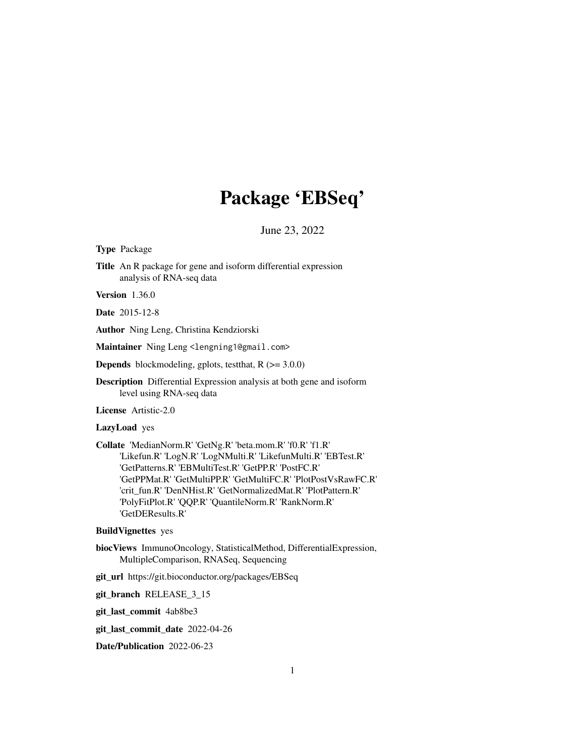# Package 'EBSeq'

June 23, 2022

Type Package

Title An R package for gene and isoform differential expression analysis of RNA-seq data

Version 1.36.0

Date 2015-12-8

Author Ning Leng, Christina Kendziorski

Maintainer Ning Leng <lengning1@gmail.com>

**Depends** blockmodeling, gplots, test that,  $R$  ( $> = 3.0.0$ )

Description Differential Expression analysis at both gene and isoform level using RNA-seq data

License Artistic-2.0

LazyLoad yes

Collate 'MedianNorm.R' 'GetNg.R' 'beta.mom.R' 'f0.R' 'f1.R' 'Likefun.R' 'LogN.R' 'LogNMulti.R' 'LikefunMulti.R' 'EBTest.R' 'GetPatterns.R' 'EBMultiTest.R' 'GetPP.R' 'PostFC.R' 'GetPPMat.R' 'GetMultiPP.R' 'GetMultiFC.R' 'PlotPostVsRawFC.R' 'crit\_fun.R' 'DenNHist.R' 'GetNormalizedMat.R' 'PlotPattern.R' 'PolyFitPlot.R' 'QQP.R' 'QuantileNorm.R' 'RankNorm.R' 'GetDEResults.R'

#### BuildVignettes yes

- biocViews ImmunoOncology, StatisticalMethod, DifferentialExpression, MultipleComparison, RNASeq, Sequencing
- git\_url https://git.bioconductor.org/packages/EBSeq

git\_branch RELEASE\_3\_15

git\_last\_commit 4ab8be3

git\_last\_commit\_date 2022-04-26

Date/Publication 2022-06-23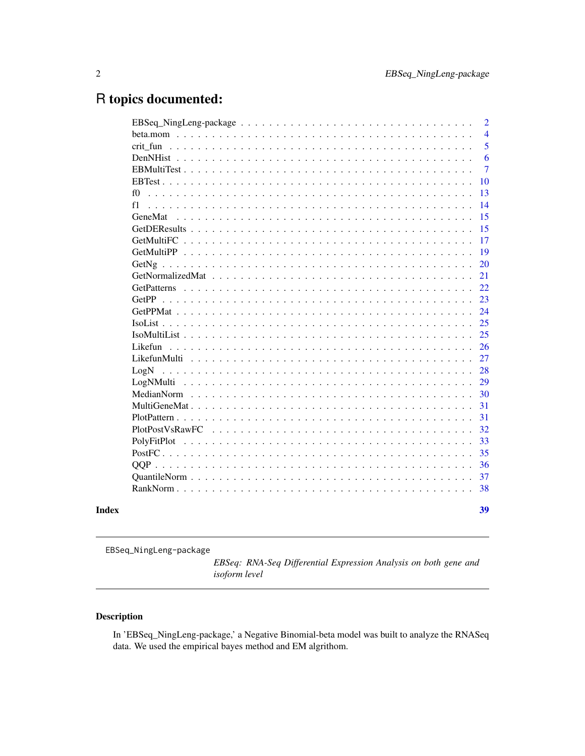## <span id="page-1-0"></span>R topics documented:

|            | $\overline{2}$ |
|------------|----------------|
|            | $\overline{4}$ |
|            | 5              |
|            | 6              |
|            | $\overline{7}$ |
|            | <b>10</b>      |
| fO         | 13             |
| f1         | 14             |
| GeneMat    | 15             |
|            | 15             |
| GetMultiFC | 17             |
|            | 19             |
|            | 20             |
|            | 21             |
|            | 22             |
|            | 23             |
|            | 24             |
|            | 25             |
|            | 25             |
|            | 26             |
|            | 27             |
| LogN       | 28             |
| LogNMulti  | 29             |
|            | 30             |
|            | 31             |
|            | 31             |
|            | 32             |
|            | 33             |
|            | 35             |
|            | 36             |
|            | 37             |
|            | 38             |
|            | 39             |

EBSeq\_NingLeng-package

*EBSeq: RNA-Seq Differential Expression Analysis on both gene and isoform level*

### Description

In 'EBSeq\_NingLeng-package,' a Negative Binomial-beta model was built to analyze the RNASeq data. We used the empirical bayes method and EM algrithom.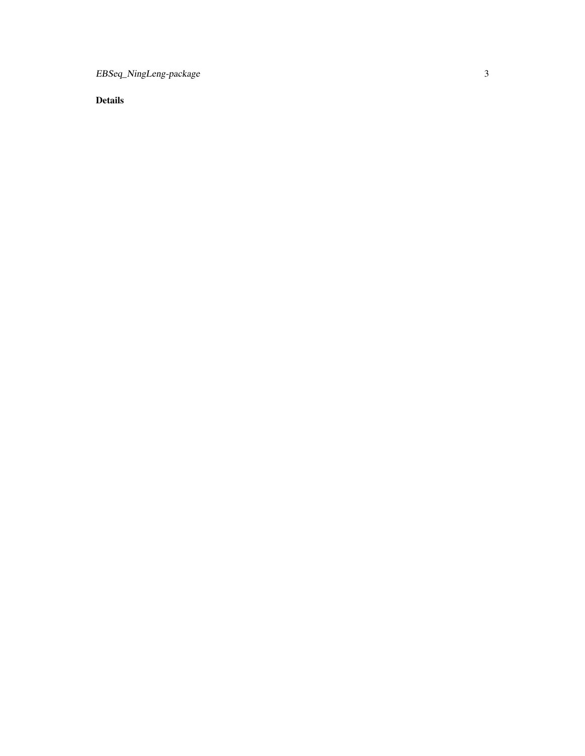EBSeq\_NingLeng-package

Details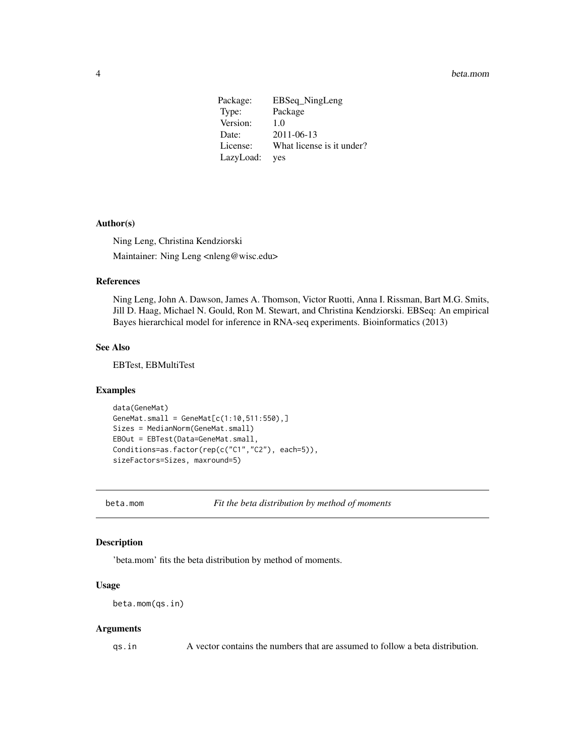#### <span id="page-3-0"></span>4 beta.mom

Package: EBSeq\_NingLeng Type: Package Version: 1.0 Date: 2011-06-13 License: What license is it under? LazyLoad: yes

#### Author(s)

Ning Leng, Christina Kendziorski Maintainer: Ning Leng <nleng@wisc.edu>

#### References

Ning Leng, John A. Dawson, James A. Thomson, Victor Ruotti, Anna I. Rissman, Bart M.G. Smits, Jill D. Haag, Michael N. Gould, Ron M. Stewart, and Christina Kendziorski. EBSeq: An empirical Bayes hierarchical model for inference in RNA-seq experiments. Bioinformatics (2013)

#### See Also

EBTest, EBMultiTest

#### Examples

```
data(GeneMat)
GeneMat.small = GeneMat[c(1:10,511:550),]Sizes = MedianNorm(GeneMat.small)
EBOut = EBTest(Data=GeneMat.small,
Conditions=as.factor(rep(c("C1","C2"), each=5)),
sizeFactors=Sizes, maxround=5)
```
beta.mom *Fit the beta distribution by method of moments*

#### Description

'beta.mom' fits the beta distribution by method of moments.

#### Usage

```
beta.mom(qs.in)
```
#### Arguments

qs.in A vector contains the numbers that are assumed to follow a beta distribution.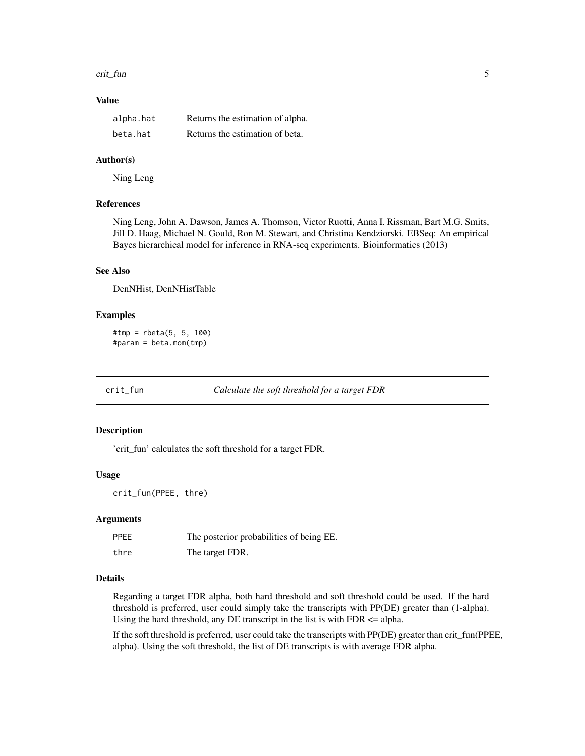#### <span id="page-4-0"></span>crit\_fun 5

### Value

| alpha.hat | Returns the estimation of alpha. |
|-----------|----------------------------------|
| beta.hat  | Returns the estimation of beta.  |

#### Author(s)

Ning Leng

#### References

Ning Leng, John A. Dawson, James A. Thomson, Victor Ruotti, Anna I. Rissman, Bart M.G. Smits, Jill D. Haag, Michael N. Gould, Ron M. Stewart, and Christina Kendziorski. EBSeq: An empirical Bayes hierarchical model for inference in RNA-seq experiments. Bioinformatics (2013)

### See Also

DenNHist, DenNHistTable

#### Examples

```
#tmp = rbeta(5, 5, 100)
#param = beta.mom(tmp)
```
crit\_fun *Calculate the soft threshold for a target FDR*

### Description

'crit\_fun' calculates the soft threshold for a target FDR.

### Usage

```
crit_fun(PPEE, thre)
```
#### Arguments

| <b>PPEE</b> | The posterior probabilities of being EE. |
|-------------|------------------------------------------|
| thre        | The target FDR.                          |

### Details

Regarding a target FDR alpha, both hard threshold and soft threshold could be used. If the hard threshold is preferred, user could simply take the transcripts with PP(DE) greater than (1-alpha). Using the hard threshold, any DE transcript in the list is with  $FDR \leq alpha$ .

If the soft threshold is preferred, user could take the transcripts with PP(DE) greater than crit\_fun(PPEE, alpha). Using the soft threshold, the list of DE transcripts is with average FDR alpha.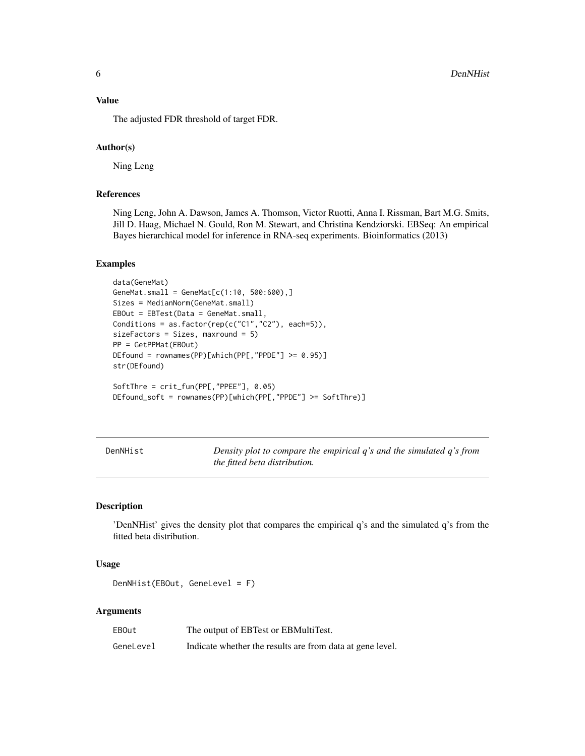<span id="page-5-0"></span>The adjusted FDR threshold of target FDR.

### Author(s)

Ning Leng

### References

Ning Leng, John A. Dawson, James A. Thomson, Victor Ruotti, Anna I. Rissman, Bart M.G. Smits, Jill D. Haag, Michael N. Gould, Ron M. Stewart, and Christina Kendziorski. EBSeq: An empirical Bayes hierarchical model for inference in RNA-seq experiments. Bioinformatics (2013)

#### Examples

```
data(GeneMat)
GeneMat.small = GeneMat[c(1:10, 500:600),]Sizes = MedianNorm(GeneMat.small)
EBOut = EBTest(Data = GeneMat.small,
Conditions = as.factor(rep(c("C1","C2"), each=5)),
sizeFactors = Sizes, maxround = 5)
PP = GetPPMat(EBOut)
DEfound = rownames(PP)[which(PP[,"PPDE"] >= 0.95)]
str(DEfound)
SoftThre = crit_fun(PP[,"PPEE"], 0.05)
DEfound_soft = rownames(PP)[which(PP[,"PPDE"] >= SoftThre)]
```
DenNHist *Density plot to compare the empirical q's and the simulated q's from the fitted beta distribution.*

#### Description

'DenNHist' gives the density plot that compares the empirical q's and the simulated q's from the fitted beta distribution.

#### Usage

```
DenNHist(EBOut, GeneLevel = F)
```
#### **Arguments**

| <b>EBOut</b> | The output of EBTest or EBMultiTest.                      |
|--------------|-----------------------------------------------------------|
| GeneLevel    | Indicate whether the results are from data at gene level. |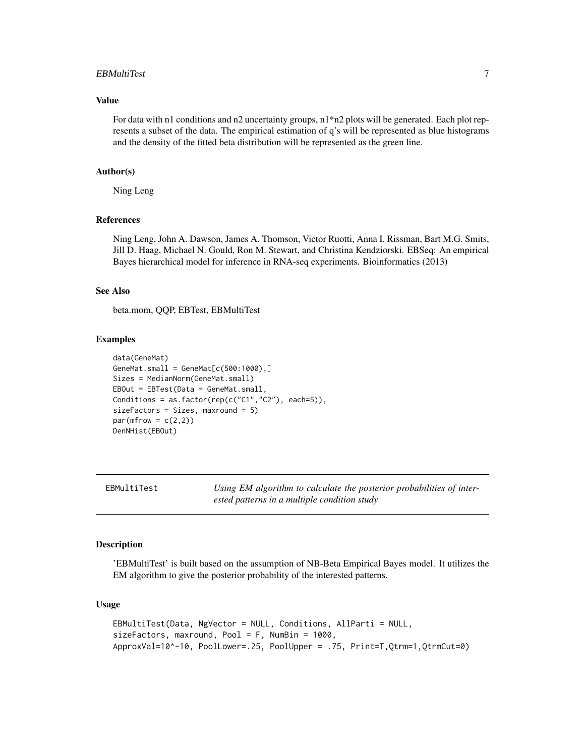#### <span id="page-6-0"></span>EBMultiTest 7

#### Value

For data with n1 conditions and n2 uncertainty groups,  $n1*n2$  plots will be generated. Each plot represents a subset of the data. The empirical estimation of q's will be represented as blue histograms and the density of the fitted beta distribution will be represented as the green line.

#### Author(s)

Ning Leng

### References

Ning Leng, John A. Dawson, James A. Thomson, Victor Ruotti, Anna I. Rissman, Bart M.G. Smits, Jill D. Haag, Michael N. Gould, Ron M. Stewart, and Christina Kendziorski. EBSeq: An empirical Bayes hierarchical model for inference in RNA-seq experiments. Bioinformatics (2013)

### See Also

beta.mom, QQP, EBTest, EBMultiTest

#### Examples

```
data(GeneMat)
GeneMat.small = GeneMat[c(500:1000),]Sizes = MedianNorm(GeneMat.small)
EBOut = EBTest(Data = GeneMat.small,
Conditions = as.factor(rep(c("C1","C2"), each=5)),
sizeFactors = Sizes, maxround = 5)
par(mfrow = c(2,2))DenNHist(EBOut)
```
EBMultiTest *Using EM algorithm to calculate the posterior probabilities of interested patterns in a multiple condition study*

#### Description

'EBMultiTest' is built based on the assumption of NB-Beta Empirical Bayes model. It utilizes the EM algorithm to give the posterior probability of the interested patterns.

#### Usage

```
EBMultiTest(Data, NgVector = NULL, Conditions, AllParti = NULL,
sizeFactors, maxround, Pool = F, NumBin = 1000,
ApproxVal=10^-10, PoolLower=.25, PoolUpper = .75, Print=T,Qtrm=1,QtrmCut=0)
```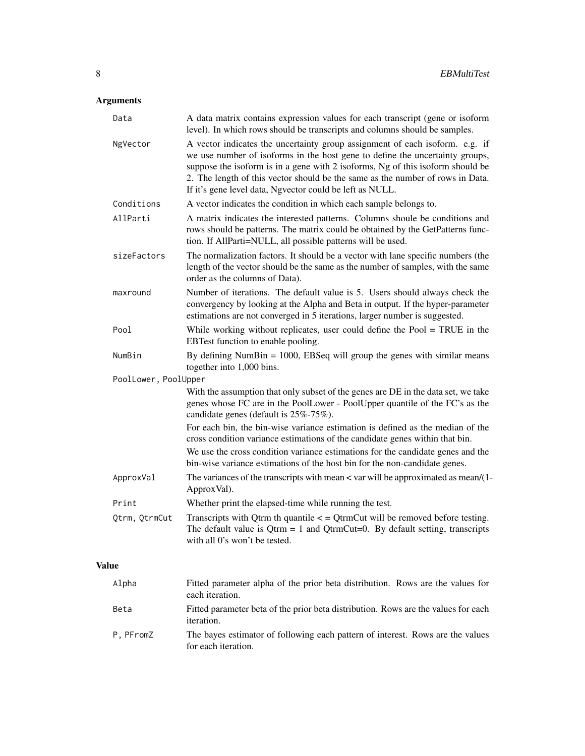## Arguments

| Data                 | A data matrix contains expression values for each transcript (gene or isoform<br>level). In which rows should be transcripts and columns should be samples.                                                                                                                                                                                                                                  |
|----------------------|----------------------------------------------------------------------------------------------------------------------------------------------------------------------------------------------------------------------------------------------------------------------------------------------------------------------------------------------------------------------------------------------|
| NgVector             | A vector indicates the uncertainty group assignment of each isoform. e.g. if<br>we use number of isoforms in the host gene to define the uncertainty groups,<br>suppose the isoform is in a gene with 2 isoforms, Ng of this isoform should be<br>2. The length of this vector should be the same as the number of rows in Data.<br>If it's gene level data, Ngvector could be left as NULL. |
| Conditions           | A vector indicates the condition in which each sample belongs to.                                                                                                                                                                                                                                                                                                                            |
| AllParti             | A matrix indicates the interested patterns. Columns shoule be conditions and<br>rows should be patterns. The matrix could be obtained by the GetPatterns func-<br>tion. If AllParti=NULL, all possible patterns will be used.                                                                                                                                                                |
| sizeFactors          | The normalization factors. It should be a vector with lane specific numbers (the<br>length of the vector should be the same as the number of samples, with the same<br>order as the columns of Data).                                                                                                                                                                                        |
| maxround             | Number of iterations. The default value is 5. Users should always check the<br>convergency by looking at the Alpha and Beta in output. If the hyper-parameter<br>estimations are not converged in 5 iterations, larger number is suggested.                                                                                                                                                  |
| Pool                 | While working without replicates, user could define the Pool $=$ TRUE in the<br>EBTest function to enable pooling.                                                                                                                                                                                                                                                                           |
| NumBin               | By defining NumBin $= 1000$ , EBSeq will group the genes with similar means<br>together into 1,000 bins.                                                                                                                                                                                                                                                                                     |
| PoolLower, PoolUpper |                                                                                                                                                                                                                                                                                                                                                                                              |
|                      | With the assumption that only subset of the genes are DE in the data set, we take<br>genes whose FC are in the PoolLower - PoolUpper quantile of the FC's as the<br>candidate genes (default is 25%-75%).                                                                                                                                                                                    |
|                      | For each bin, the bin-wise variance estimation is defined as the median of the<br>cross condition variance estimations of the candidate genes within that bin.                                                                                                                                                                                                                               |
|                      | We use the cross condition variance estimations for the candidate genes and the<br>bin-wise variance estimations of the host bin for the non-candidate genes.                                                                                                                                                                                                                                |
| ApproxVal            | The variances of the transcripts with mean < var will be approximated as mean/(1-<br>ApproxVal).                                                                                                                                                                                                                                                                                             |
| Print                | Whether print the elapsed-time while running the test.                                                                                                                                                                                                                                                                                                                                       |
| Qtrm, QtrmCut        | Transcripts with Qtrm th quantile $\lt$ = QtrmCut will be removed before testing.<br>The default value is $Q$ trm = 1 and $Q$ trm $Cu$ t=0. By default setting, transcripts<br>with all 0's won't be tested.                                                                                                                                                                                 |
| Value                |                                                                                                                                                                                                                                                                                                                                                                                              |

| Alpha     | Fitted parameter alpha of the prior beta distribution. Rows are the values for<br>each iteration.       |
|-----------|---------------------------------------------------------------------------------------------------------|
| Beta      | Fitted parameter beta of the prior beta distribution. Rows are the values for each<br><i>iteration.</i> |
| P, PFromZ | The bayes estimator of following each pattern of interest. Rows are the values<br>for each iteration.   |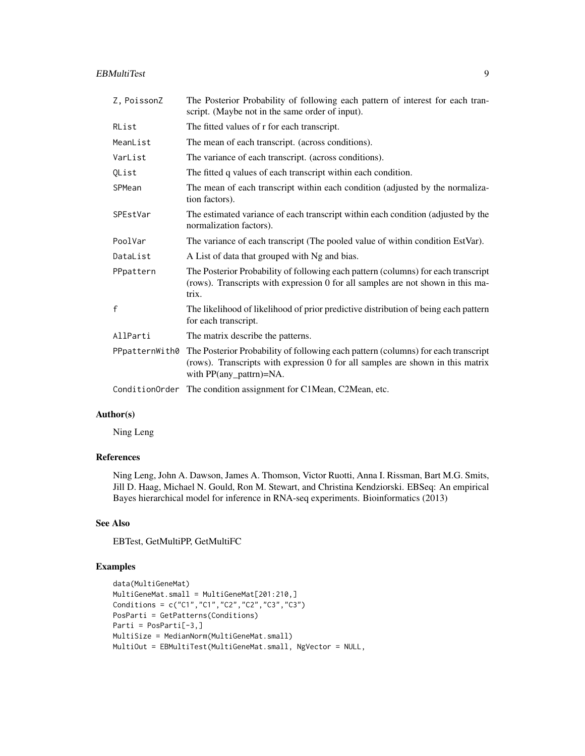#### EBMultiTest 9

| Z, PoissonZ    | The Posterior Probability of following each pattern of interest for each tran-<br>script. (Maybe not in the same order of input).                                                              |
|----------------|------------------------------------------------------------------------------------------------------------------------------------------------------------------------------------------------|
| RList          | The fitted values of r for each transcript.                                                                                                                                                    |
| MeanList       | The mean of each transcript. (across conditions).                                                                                                                                              |
| VarList        | The variance of each transcript. (across conditions).                                                                                                                                          |
| QList          | The fitted q values of each transcript within each condition.                                                                                                                                  |
| SPMean         | The mean of each transcript within each condition (adjusted by the normaliza-<br>tion factors).                                                                                                |
| SPEstVar       | The estimated variance of each transcript within each condition (adjusted by the<br>normalization factors).                                                                                    |
| PoolVar        | The variance of each transcript (The pooled value of within condition EstVar).                                                                                                                 |
| DataList       | A List of data that grouped with Ng and bias.                                                                                                                                                  |
| PPpattern      | The Posterior Probability of following each pattern (columns) for each transcript<br>(rows). Transcripts with expression 0 for all samples are not shown in this ma-<br>trix.                  |
| $\mathsf{f}$   | The likelihood of likelihood of prior predictive distribution of being each pattern<br>for each transcript.                                                                                    |
| AllParti       | The matrix describe the patterns.                                                                                                                                                              |
| PPpatternWith0 | The Posterior Probability of following each pattern (columns) for each transcript<br>(rows). Transcripts with expression 0 for all samples are shown in this matrix<br>with PP(any_pattrn)=NA. |
|                | ConditionOrder The condition assignment for C1Mean, C2Mean, etc.                                                                                                                               |

### Author(s)

Ning Leng

### References

Ning Leng, John A. Dawson, James A. Thomson, Victor Ruotti, Anna I. Rissman, Bart M.G. Smits, Jill D. Haag, Michael N. Gould, Ron M. Stewart, and Christina Kendziorski. EBSeq: An empirical Bayes hierarchical model for inference in RNA-seq experiments. Bioinformatics (2013)

### See Also

EBTest, GetMultiPP, GetMultiFC

```
data(MultiGeneMat)
MultiGeneMat.small = MultiGeneMat[201:210,]
Conditions = c("C1","C1","C2","C2","C3","C3")
PosParti = GetPatterns(Conditions)
Parti = PosParti[-3,]
MultiSize = MedianNorm(MultiGeneMat.small)
MultiOut = EBMultiTest(MultiGeneMat.small, NgVector = NULL,
```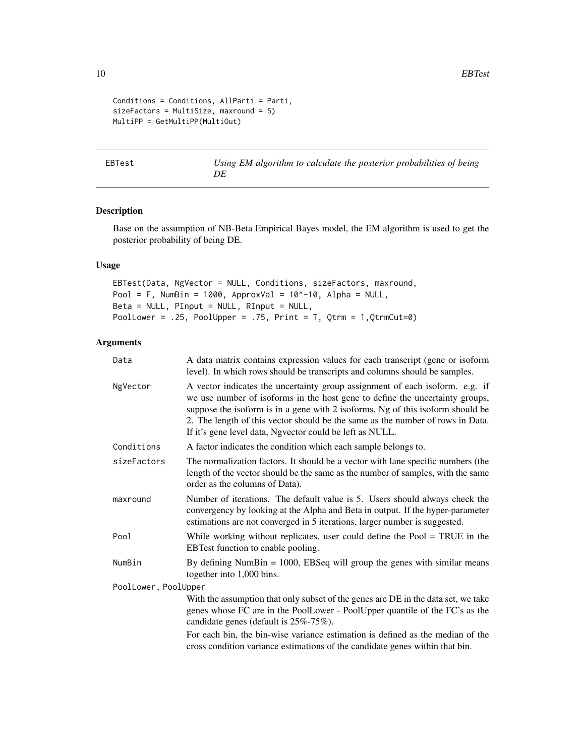10 BBTest

```
Conditions = Conditions, AllParti = Parti,
sizeFactors = MultiSize, maxround = 5)
MultiPP = GetMultiPP(MultiOut)
```
EBTest *Using EM algorithm to calculate the posterior probabilities of being DE*

### Description

Base on the assumption of NB-Beta Empirical Bayes model, the EM algorithm is used to get the posterior probability of being DE.

### Usage

EBTest(Data, NgVector = NULL, Conditions, sizeFactors, maxround, Pool = F, NumBin = 1000, ApproxVal = 10^-10, Alpha = NULL, Beta = NULL, PInput = NULL, RInput = NULL, PoolLower = .25, PoolUpper = .75, Print = T, Qtrm = 1,QtrmCut=0)

### Arguments

| Data                 | A data matrix contains expression values for each transcript (gene or isoform<br>level). In which rows should be transcripts and columns should be samples.                                                                                                                                                                                                                                  |  |
|----------------------|----------------------------------------------------------------------------------------------------------------------------------------------------------------------------------------------------------------------------------------------------------------------------------------------------------------------------------------------------------------------------------------------|--|
| NgVector             | A vector indicates the uncertainty group assignment of each isoform. e.g. if<br>we use number of isoforms in the host gene to define the uncertainty groups,<br>suppose the isoform is in a gene with 2 isoforms, Ng of this isoform should be<br>2. The length of this vector should be the same as the number of rows in Data.<br>If it's gene level data, Ngvector could be left as NULL. |  |
| Conditions           | A factor indicates the condition which each sample belongs to.                                                                                                                                                                                                                                                                                                                               |  |
| sizeFactors          | The normalization factors. It should be a vector with lane specific numbers (the<br>length of the vector should be the same as the number of samples, with the same<br>order as the columns of Data).                                                                                                                                                                                        |  |
| maxround             | Number of iterations. The default value is 5. Users should always check the<br>convergency by looking at the Alpha and Beta in output. If the hyper-parameter<br>estimations are not converged in 5 iterations, larger number is suggested.                                                                                                                                                  |  |
| Pool                 | While working without replicates, user could define the Pool $=$ TRUE in the<br>EBTest function to enable pooling.                                                                                                                                                                                                                                                                           |  |
| NumBin               | By defining NumBin $= 1000$ , EBSeq will group the genes with similar means<br>together into 1,000 bins.                                                                                                                                                                                                                                                                                     |  |
| PoolLower, PoolUpper |                                                                                                                                                                                                                                                                                                                                                                                              |  |
|                      | With the assumption that only subset of the genes are DE in the data set, we take<br>genes whose FC are in the PoolLower - PoolUpper quantile of the FC's as the<br>candidate genes (default is 25%-75%).                                                                                                                                                                                    |  |
|                      | For each bin, the bin-wise variance estimation is defined as the median of the<br>cross condition variance estimations of the candidate genes within that bin.                                                                                                                                                                                                                               |  |

<span id="page-9-0"></span>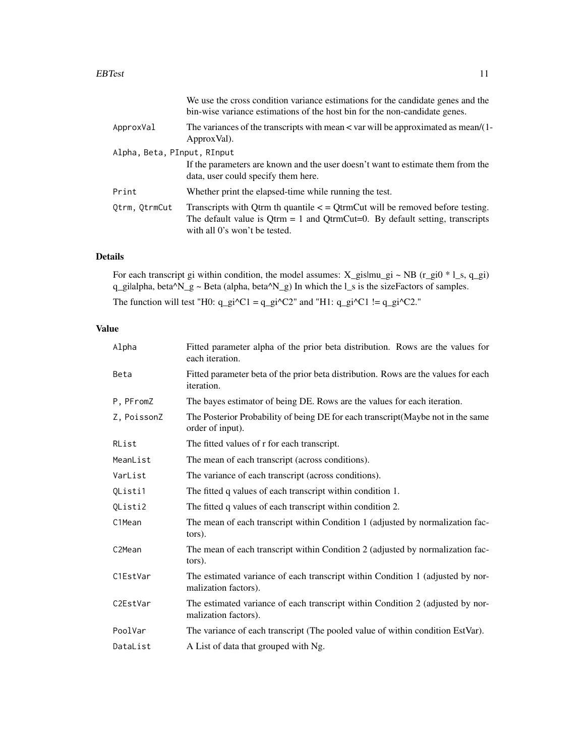#### EBTest 11

| We use the cross condition variance estimations for the candidate genes and the<br>bin-wise variance estimations of the host bin for the non-candidate genes.                                            |
|----------------------------------------------------------------------------------------------------------------------------------------------------------------------------------------------------------|
| The variances of the transcripts with mean < var will be approximated as mean/(1-<br>Approx Val).                                                                                                        |
| Alpha, Beta, PInput, RInput                                                                                                                                                                              |
| If the parameters are known and the user doesn't want to estimate them from the<br>data, user could specify them here.                                                                                   |
| Whether print the elapsed-time while running the test.                                                                                                                                                   |
| Transcripts with Qtrm th quantile $\lt$ = QtrmCut will be removed before testing.<br>The default value is $Q$ trm = 1 and $Q$ trmCut=0. By default setting, transcripts<br>with all 0's won't be tested. |
|                                                                                                                                                                                                          |

### Details

For each transcript gi within condition, the model assumes:  $X_g$ islmu\_gi ~ NB (r\_gi0 \* l\_s, q\_gi) q\_gilalpha, beta^N\_g ~ Beta (alpha, beta^N\_g) In which the l\_s is the sizeFactors of samples. The function will test "H0:  $q_g$ i^C1 =  $q_g$ i^C2" and "H1:  $q_g$ i^C1 !=  $q_g$ i^C2."

### Value

| Alpha               | Fitted parameter alpha of the prior beta distribution. Rows are the values for<br>each iteration.      |
|---------------------|--------------------------------------------------------------------------------------------------------|
| Beta                | Fitted parameter beta of the prior beta distribution. Rows are the values for each<br>iteration.       |
| P, PFromZ           | The bayes estimator of being DE. Rows are the values for each iteration.                               |
| Z, PoissonZ         | The Posterior Probability of being DE for each transcript (Maybe not in the same<br>order of input).   |
| RList               | The fitted values of r for each transcript.                                                            |
| MeanList            | The mean of each transcript (across conditions).                                                       |
| VarList             | The variance of each transcript (across conditions).                                                   |
| QListi1             | The fitted q values of each transcript within condition 1.                                             |
| QListi2             | The fitted q values of each transcript within condition 2.                                             |
| C1Mean              | The mean of each transcript within Condition 1 (adjusted by normalization fac-<br>tors).               |
| C <sub>2</sub> Mean | The mean of each transcript within Condition 2 (adjusted by normalization fac-<br>tors).               |
| C1EstVar            | The estimated variance of each transcript within Condition 1 (adjusted by nor-<br>malization factors). |
| C2EstVar            | The estimated variance of each transcript within Condition 2 (adjusted by nor-<br>malization factors). |
| PoolVar             | The variance of each transcript (The pooled value of within condition EstVar).                         |
| DataList            | A List of data that grouped with Ng.                                                                   |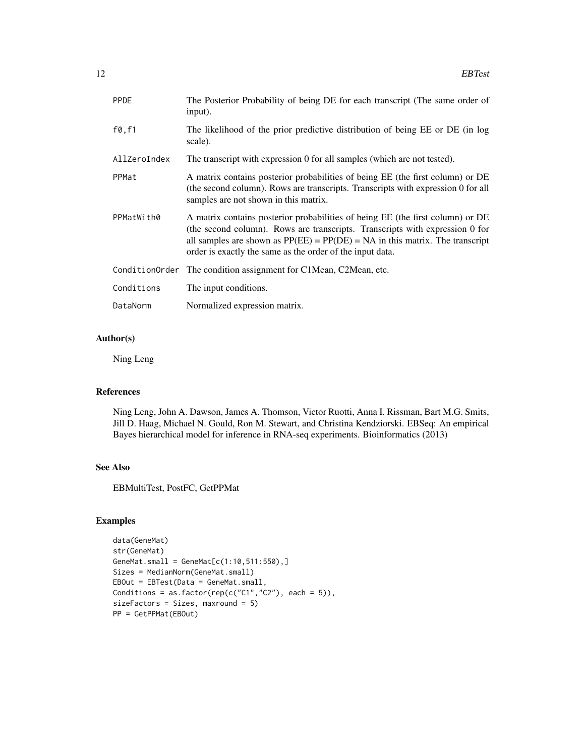| <b>PPDE</b>      | The Posterior Probability of being DE for each transcript (The same order of<br>input).                                                                                                                                                                                                                       |
|------------------|---------------------------------------------------------------------------------------------------------------------------------------------------------------------------------------------------------------------------------------------------------------------------------------------------------------|
| $f\emptyset, f1$ | The likelihood of the prior predictive distribution of being EE or DE (in log<br>scale).                                                                                                                                                                                                                      |
| AllZeroIndex     | The transcript with expression 0 for all samples (which are not tested).                                                                                                                                                                                                                                      |
| PPMat            | A matrix contains posterior probabilities of being EE (the first column) or DE<br>(the second column). Rows are transcripts. Transcripts with expression 0 for all<br>samples are not shown in this matrix.                                                                                                   |
| PPMatWith0       | A matrix contains posterior probabilities of being EE (the first column) or DE<br>(the second column). Rows are transcripts. Transcripts with expression 0 for<br>all samples are shown as $PP(EE) = PP(DE) = NA$ in this matrix. The transcript<br>order is exactly the same as the order of the input data. |
|                  | ConditionOrder The condition assignment for C1Mean, C2Mean, etc.                                                                                                                                                                                                                                              |
| Conditions       | The input conditions.                                                                                                                                                                                                                                                                                         |
| DataNorm         | Normalized expression matrix.                                                                                                                                                                                                                                                                                 |

### Author(s)

Ning Leng

#### References

Ning Leng, John A. Dawson, James A. Thomson, Victor Ruotti, Anna I. Rissman, Bart M.G. Smits, Jill D. Haag, Michael N. Gould, Ron M. Stewart, and Christina Kendziorski. EBSeq: An empirical Bayes hierarchical model for inference in RNA-seq experiments. Bioinformatics (2013)

### See Also

EBMultiTest, PostFC, GetPPMat

```
data(GeneMat)
str(GeneMat)
GeneMat.small = GeneMat[c(1:10,511:550),]Sizes = MedianNorm(GeneMat.small)
EBOut = EBTest(Data = GeneMat.small,
Conditions = as.factor(rep(c("C1","C2"), each = 5)),
sizeFactors = Sizes, maxround = 5)
PP = GetPPMat(EBOut)
```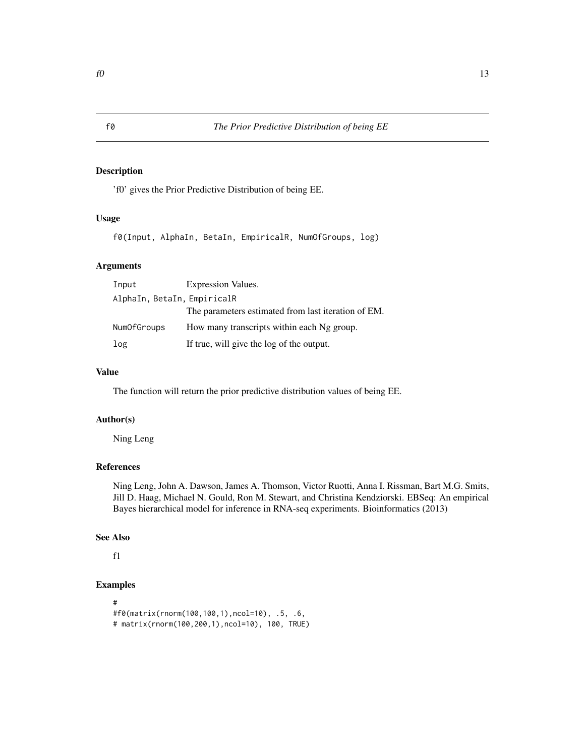'f0' gives the Prior Predictive Distribution of being EE.

### Usage

f0(Input, AlphaIn, BetaIn, EmpiricalR, NumOfGroups, log)

### Arguments

| Input                       | <b>Expression Values.</b>                           |  |
|-----------------------------|-----------------------------------------------------|--|
| AlphaIn, BetaIn, EmpiricalR |                                                     |  |
|                             | The parameters estimated from last iteration of EM. |  |
| NumOfGroups                 | How many transcripts within each Ng group.          |  |
| log                         | If true, will give the log of the output.           |  |

### Value

The function will return the prior predictive distribution values of being EE.

### Author(s)

Ning Leng

### References

Ning Leng, John A. Dawson, James A. Thomson, Victor Ruotti, Anna I. Rissman, Bart M.G. Smits, Jill D. Haag, Michael N. Gould, Ron M. Stewart, and Christina Kendziorski. EBSeq: An empirical Bayes hierarchical model for inference in RNA-seq experiments. Bioinformatics (2013)

#### See Also

f1

```
#
#f0(matrix(rnorm(100,100,1),ncol=10), .5, .6,
# matrix(rnorm(100,200,1),ncol=10), 100, TRUE)
```
<span id="page-12-0"></span>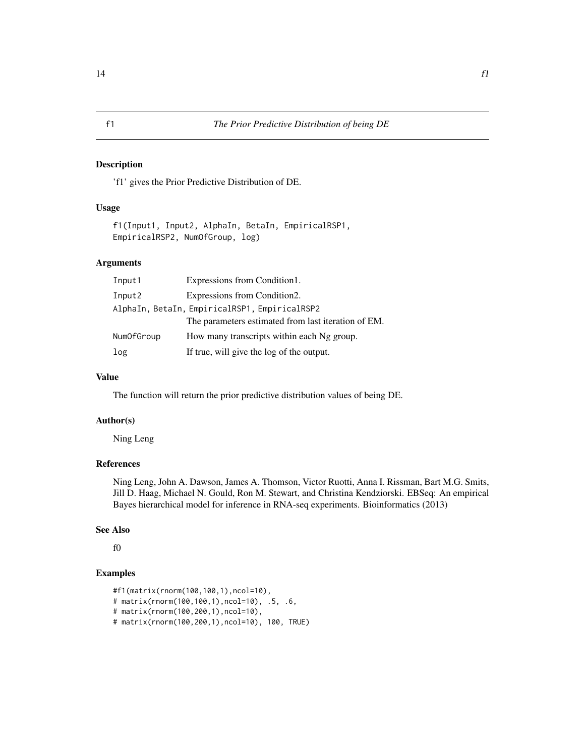<span id="page-13-0"></span>'f1' gives the Prior Predictive Distribution of DE.

#### Usage

f1(Input1, Input2, AlphaIn, BetaIn, EmpiricalRSP1, EmpiricalRSP2, NumOfGroup, log)

### Arguments

| Input1                                        | Expressions from Condition1.                        |  |
|-----------------------------------------------|-----------------------------------------------------|--|
| Input2                                        | Expressions from Condition2.                        |  |
| AlphaIn, BetaIn, EmpiricalRSP1, EmpiricalRSP2 |                                                     |  |
|                                               | The parameters estimated from last iteration of EM. |  |
| NumOfGroup                                    | How many transcripts within each Ng group.          |  |
| log                                           | If true, will give the log of the output.           |  |

### Value

The function will return the prior predictive distribution values of being DE.

#### Author(s)

Ning Leng

### References

Ning Leng, John A. Dawson, James A. Thomson, Victor Ruotti, Anna I. Rissman, Bart M.G. Smits, Jill D. Haag, Michael N. Gould, Ron M. Stewart, and Christina Kendziorski. EBSeq: An empirical Bayes hierarchical model for inference in RNA-seq experiments. Bioinformatics (2013)

### See Also

f0

```
#f1(matrix(rnorm(100,100,1),ncol=10),
# matrix(rnorm(100,100,1),ncol=10), .5, .6,
# matrix(rnorm(100,200,1),ncol=10),
# matrix(rnorm(100,200,1),ncol=10), 100, TRUE)
```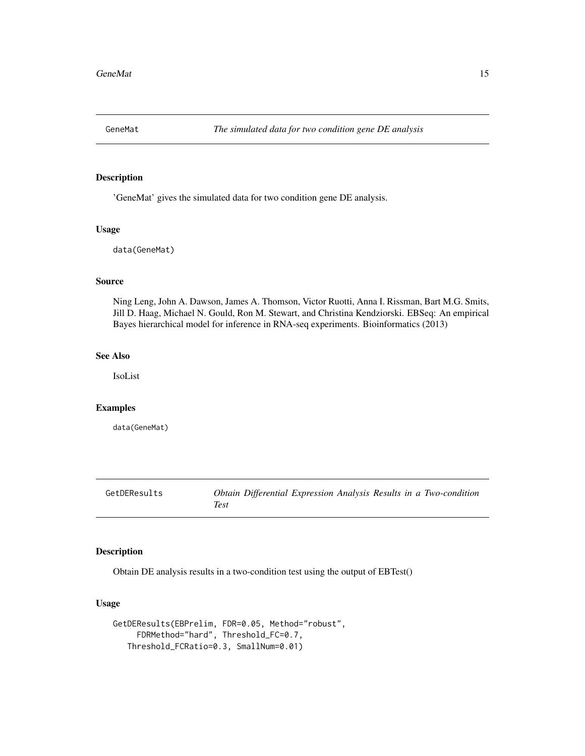<span id="page-14-0"></span>

'GeneMat' gives the simulated data for two condition gene DE analysis.

#### Usage

data(GeneMat)

#### Source

Ning Leng, John A. Dawson, James A. Thomson, Victor Ruotti, Anna I. Rissman, Bart M.G. Smits, Jill D. Haag, Michael N. Gould, Ron M. Stewart, and Christina Kendziorski. EBSeq: An empirical Bayes hierarchical model for inference in RNA-seq experiments. Bioinformatics (2013)

### See Also

IsoList

#### Examples

data(GeneMat)

GetDEResults *Obtain Differential Expression Analysis Results in a Two-condition Test*

### Description

Obtain DE analysis results in a two-condition test using the output of EBTest()

### Usage

```
GetDEResults(EBPrelim, FDR=0.05, Method="robust",
     FDRMethod="hard", Threshold_FC=0.7,
   Threshold_FCRatio=0.3, SmallNum=0.01)
```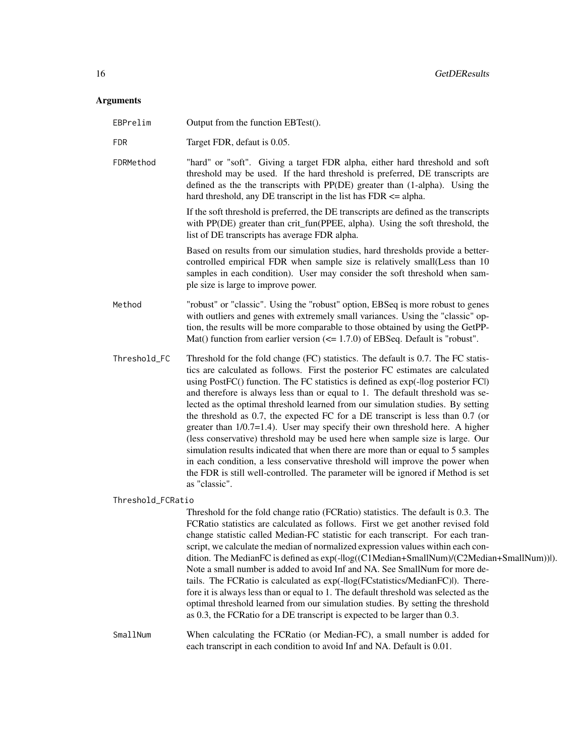## Arguments

| EBPrelim          | Output from the function EBTest().                                                                                                                                                                                                                                                                                                                                                                                                                                                                                                                                                                                                                                                                                                                                                                                                                                                                                                                            |
|-------------------|---------------------------------------------------------------------------------------------------------------------------------------------------------------------------------------------------------------------------------------------------------------------------------------------------------------------------------------------------------------------------------------------------------------------------------------------------------------------------------------------------------------------------------------------------------------------------------------------------------------------------------------------------------------------------------------------------------------------------------------------------------------------------------------------------------------------------------------------------------------------------------------------------------------------------------------------------------------|
| <b>FDR</b>        | Target FDR, defaut is 0.05.                                                                                                                                                                                                                                                                                                                                                                                                                                                                                                                                                                                                                                                                                                                                                                                                                                                                                                                                   |
| FDRMethod         | "hard" or "soft". Giving a target FDR alpha, either hard threshold and soft<br>threshold may be used. If the hard threshold is preferred, DE transcripts are<br>defined as the the transcripts with PP(DE) greater than (1-alpha). Using the<br>hard threshold, any DE transcript in the list has $FDR \leq alpha$ .                                                                                                                                                                                                                                                                                                                                                                                                                                                                                                                                                                                                                                          |
|                   | If the soft threshold is preferred, the DE transcripts are defined as the transcripts<br>with PP(DE) greater than crit_fun(PPEE, alpha). Using the soft threshold, the<br>list of DE transcripts has average FDR alpha.                                                                                                                                                                                                                                                                                                                                                                                                                                                                                                                                                                                                                                                                                                                                       |
|                   | Based on results from our simulation studies, hard thresholds provide a better-<br>controlled empirical FDR when sample size is relatively small(Less than 10<br>samples in each condition). User may consider the soft threshold when sam-<br>ple size is large to improve power.                                                                                                                                                                                                                                                                                                                                                                                                                                                                                                                                                                                                                                                                            |
| Method            | "robust" or "classic". Using the "robust" option, EBSeq is more robust to genes<br>with outliers and genes with extremely small variances. Using the "classic" op-<br>tion, the results will be more comparable to those obtained by using the GetPP-<br>Mat() function from earlier version $\left(\leq 1.7.0\right)$ of EBSeq. Default is "robust".                                                                                                                                                                                                                                                                                                                                                                                                                                                                                                                                                                                                         |
| Threshold_FC      | Threshold for the fold change (FC) statistics. The default is 0.7. The FC statis-<br>tics are calculated as follows. First the posterior FC estimates are calculated<br>using PostFC() function. The FC statistics is defined as exp(-llog posterior FCl)<br>and therefore is always less than or equal to 1. The default threshold was se-<br>lected as the optimal threshold learned from our simulation studies. By setting<br>the threshold as 0.7, the expected FC for a DE transcript is less than 0.7 (or<br>greater than $1/0.7=1.4$ ). User may specify their own threshold here. A higher<br>(less conservative) threshold may be used here when sample size is large. Our<br>simulation results indicated that when there are more than or equal to 5 samples<br>in each condition, a less conservative threshold will improve the power when<br>the FDR is still well-controlled. The parameter will be ignored if Method is set<br>as "classic". |
| Threshold_FCRatio |                                                                                                                                                                                                                                                                                                                                                                                                                                                                                                                                                                                                                                                                                                                                                                                                                                                                                                                                                               |
|                   | Threshold for the fold change ratio (FCRatio) statistics. The default is 0.3. The<br>FCRatio statistics are calculated as follows. First we get another revised fold<br>change statistic called Median-FC statistic for each transcript. For each tran-<br>script, we calculate the median of normalized expression values within each con-<br>dition. The MedianFC is defined as exp(-llog((C1Median+SmallNum)/(C2Median+SmallNum))]).<br>Note a small number is added to avoid Inf and NA. See SmallNum for more de-<br>tails. The FCRatio is calculated as exp(-llog(FCstatistics/MedianFC)l). There-<br>fore it is always less than or equal to 1. The default threshold was selected as the<br>optimal threshold learned from our simulation studies. By setting the threshold<br>as 0.3, the FCRatio for a DE transcript is expected to be larger than 0.3.                                                                                             |
| SmallNum          | When calculating the FCRatio (or Median-FC), a small number is added for<br>each transcript in each condition to avoid Inf and NA. Default is 0.01.                                                                                                                                                                                                                                                                                                                                                                                                                                                                                                                                                                                                                                                                                                                                                                                                           |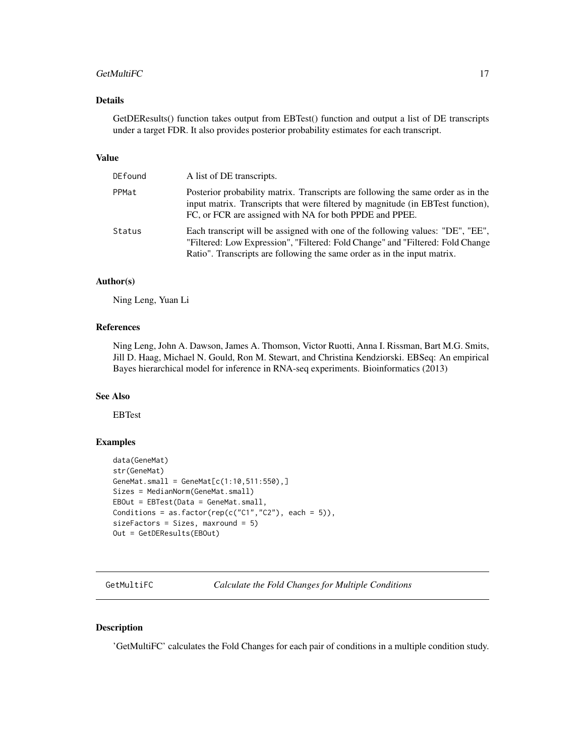#### <span id="page-16-0"></span>GetMultiFC 17

### Details

GetDEResults() function takes output from EBTest() function and output a list of DE transcripts under a target FDR. It also provides posterior probability estimates for each transcript.

### Value

| DEfound | A list of DE transcripts.                                                                                                                                                                                                                     |
|---------|-----------------------------------------------------------------------------------------------------------------------------------------------------------------------------------------------------------------------------------------------|
| PPMat   | Posterior probability matrix. Transcripts are following the same order as in the<br>input matrix. Transcripts that were filtered by magnitude (in EBTest function),<br>FC, or FCR are assigned with NA for both PPDE and PPEE.                |
| Status  | Each transcript will be assigned with one of the following values: "DE", "EE",<br>"Filtered: Low Expression", "Filtered: Fold Change" and "Filtered: Fold Change"<br>Ratio". Transcripts are following the same order as in the input matrix. |

#### Author(s)

Ning Leng, Yuan Li

#### References

Ning Leng, John A. Dawson, James A. Thomson, Victor Ruotti, Anna I. Rissman, Bart M.G. Smits, Jill D. Haag, Michael N. Gould, Ron M. Stewart, and Christina Kendziorski. EBSeq: An empirical Bayes hierarchical model for inference in RNA-seq experiments. Bioinformatics (2013)

#### See Also

EBTest

### Examples

```
data(GeneMat)
str(GeneMat)
GeneMat.small = GeneMat[c(1:10,511:550),]Sizes = MedianNorm(GeneMat.small)
EBOut = EBTest(Data = GeneMat.small,
Conditions = as.factor(rep(c("C1","C2"), each = 5)),
sizeFactors = Sizes, maxround = 5)
Out = GetDEResults(EBOut)
```
GetMultiFC *Calculate the Fold Changes for Multiple Conditions*

#### Description

'GetMultiFC' calculates the Fold Changes for each pair of conditions in a multiple condition study.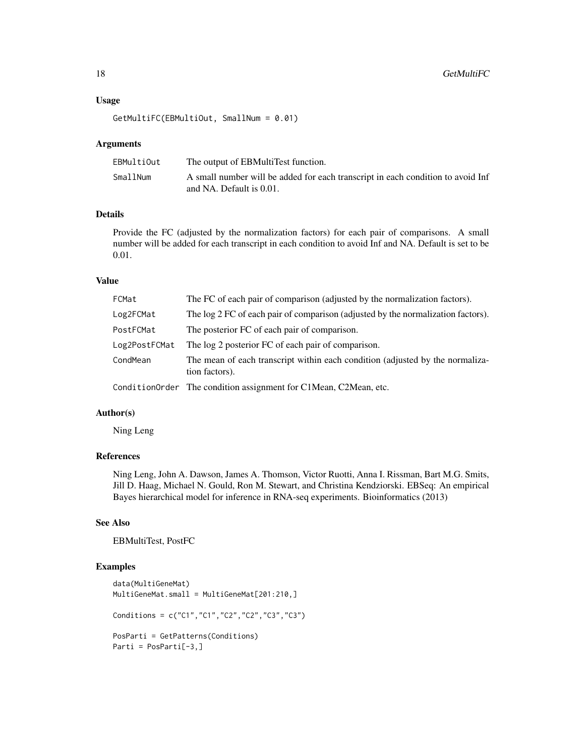### Usage

```
GetMultiFC(EBMultiOut, SmallNum = 0.01)
```
#### Arguments

| EBMultiOut | The output of EBMultiTest function.                                             |
|------------|---------------------------------------------------------------------------------|
| SmallNum   | A small number will be added for each transcript in each condition to avoid Inf |
|            | and NA. Default is 0.01.                                                        |

### Details

Provide the FC (adjusted by the normalization factors) for each pair of comparisons. A small number will be added for each transcript in each condition to avoid Inf and NA. Default is set to be 0.01.

### Value

| FCMat         | The FC of each pair of comparison (adjusted by the normalization factors).                      |
|---------------|-------------------------------------------------------------------------------------------------|
| Log2FCMat     | The log 2 FC of each pair of comparison (adjusted by the normalization factors).                |
| PostFCMat     | The posterior FC of each pair of comparison.                                                    |
| Log2PostFCMat | The log 2 posterior FC of each pair of comparison.                                              |
| CondMean      | The mean of each transcript within each condition (adjusted by the normaliza-<br>tion factors). |
|               | Condition Order The condition assignment for C1 Mean, C2 Mean, etc.                             |

#### Author(s)

Ning Leng

### References

Ning Leng, John A. Dawson, James A. Thomson, Victor Ruotti, Anna I. Rissman, Bart M.G. Smits, Jill D. Haag, Michael N. Gould, Ron M. Stewart, and Christina Kendziorski. EBSeq: An empirical Bayes hierarchical model for inference in RNA-seq experiments. Bioinformatics (2013)

### See Also

EBMultiTest, PostFC

```
data(MultiGeneMat)
MultiGeneMat.small = MultiGeneMat[201:210,]
Conditions = c("C1","C1","C2","C2","C3","C3")
PosParti = GetPatterns(Conditions)
Parti = PosParti[-3,]
```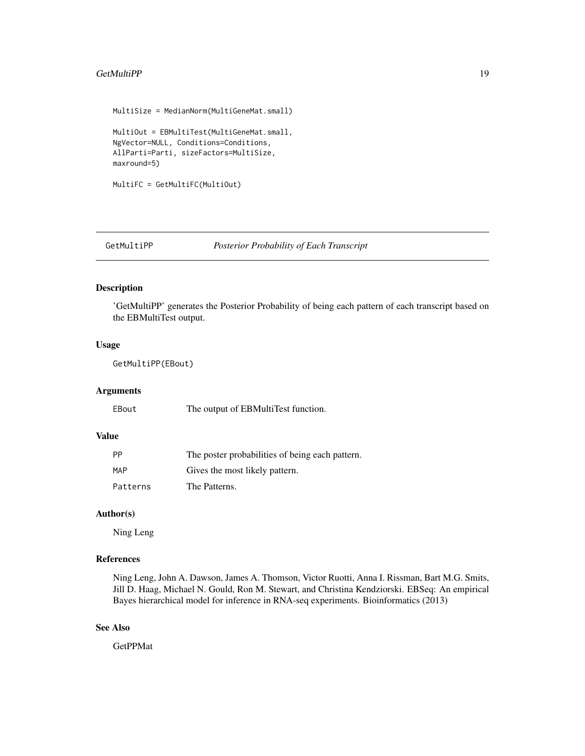#### <span id="page-18-0"></span>GetMultiPP 19

```
MultiSize = MedianNorm(MultiGeneMat.small)
MultiOut = EBMultiTest(MultiGeneMat.small,
NgVector=NULL, Conditions=Conditions,
AllParti=Parti, sizeFactors=MultiSize,
maxround=5)
MultiFC = GetMultiFC(MultiOut)
```
#### GetMultiPP *Posterior Probability of Each Transcript*

#### Description

'GetMultiPP' generates the Posterior Probability of being each pattern of each transcript based on the EBMultiTest output.

#### Usage

GetMultiPP(EBout)

#### Arguments

EBout The output of EBMultiTest function.

### Value

| <b>PP</b> | The poster probabilities of being each pattern. |
|-----------|-------------------------------------------------|
| MAP       | Gives the most likely pattern.                  |
| Patterns  | The Patterns.                                   |

### Author(s)

Ning Leng

#### References

Ning Leng, John A. Dawson, James A. Thomson, Victor Ruotti, Anna I. Rissman, Bart M.G. Smits, Jill D. Haag, Michael N. Gould, Ron M. Stewart, and Christina Kendziorski. EBSeq: An empirical Bayes hierarchical model for inference in RNA-seq experiments. Bioinformatics (2013)

#### See Also

GetPPMat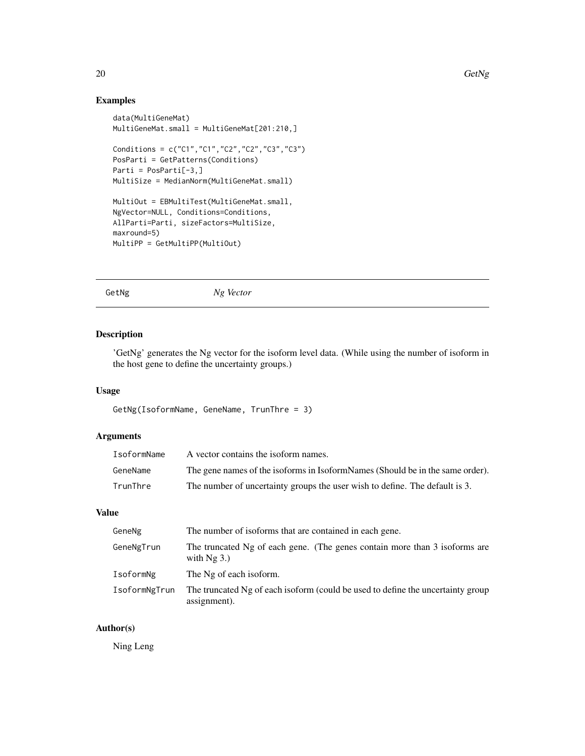### Examples

```
data(MultiGeneMat)
MultiGeneMat.small = MultiGeneMat[201:210,]
Conditions = c("C1","C1","C2","C2","C3","C3")
PosParti = GetPatterns(Conditions)
Parti = PosParti[-3,]
MultiSize = MedianNorm(MultiGeneMat.small)
MultiOut = EBMultiTest(MultiGeneMat.small,
NgVector=NULL, Conditions=Conditions,
AllParti=Parti, sizeFactors=MultiSize,
maxround=5)
MultiPP = GetMultiPP(MultiOut)
```
GetNg *Ng Vector*

### Description

'GetNg' generates the Ng vector for the isoform level data. (While using the number of isoform in the host gene to define the uncertainty groups.)

### Usage

```
GetNg(IsoformName, GeneName, TrunThre = 3)
```
### Arguments

| IsoformName | A vector contains the isoform names.                                          |
|-------------|-------------------------------------------------------------------------------|
| GeneName    | The gene names of the isoforms in IsoformNames (Should be in the same order). |
| TrunThre    | The number of uncertainty groups the user wish to define. The default is 3.   |

#### Value

| GeneNg        | The number of isoforms that are contained in each gene.                                         |
|---------------|-------------------------------------------------------------------------------------------------|
| GeneNgTrun    | The truncated Ng of each gene. (The genes contain more than 3 isoforms are<br>with $Ng$ 3.)     |
| IsoformNg     | The Ng of each isoform.                                                                         |
| IsoformNgTrun | The truncated Ng of each isoform (could be used to define the uncertainty group<br>assignment). |

#### Author(s)

Ning Leng

<span id="page-19-0"></span>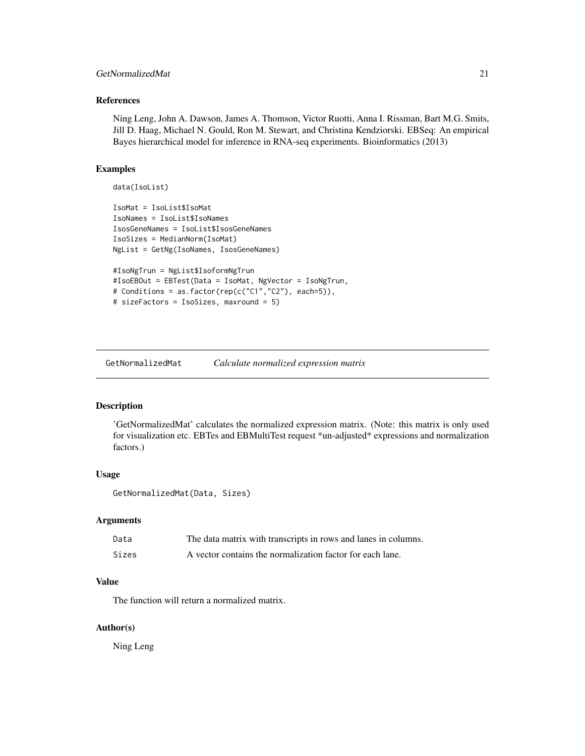### <span id="page-20-0"></span>GetNormalizedMat 21

### References

Ning Leng, John A. Dawson, James A. Thomson, Victor Ruotti, Anna I. Rissman, Bart M.G. Smits, Jill D. Haag, Michael N. Gould, Ron M. Stewart, and Christina Kendziorski. EBSeq: An empirical Bayes hierarchical model for inference in RNA-seq experiments. Bioinformatics (2013)

#### Examples

```
data(IsoList)
```

```
IsoMat = IsoList$IsoMat
IsoNames = IsoList$IsoNames
IsosGeneNames = IsoList$IsosGeneNames
IsoSizes = MedianNorm(IsoMat)
NgList = GetNg(IsoNames, IsosGeneNames)
#IsoNgTrun = NgList$IsoformNgTrun
#IsoEBOut = EBTest(Data = IsoMat, NgVector = IsoNgTrun,
# Conditions = as.factor(rep(c("C1","C2"), each=5)),
# sizeFactors = IsoSizes, maxround = 5)
```
GetNormalizedMat *Calculate normalized expression matrix*

#### Description

'GetNormalizedMat' calculates the normalized expression matrix. (Note: this matrix is only used for visualization etc. EBTes and EBMultiTest request \*un-adjusted\* expressions and normalization factors.)

#### Usage

```
GetNormalizedMat(Data, Sizes)
```
#### Arguments

| Data  | The data matrix with transcripts in rows and lanes in columns. |
|-------|----------------------------------------------------------------|
| Sizes | A vector contains the normalization factor for each lane.      |

### Value

The function will return a normalized matrix.

#### Author(s)

Ning Leng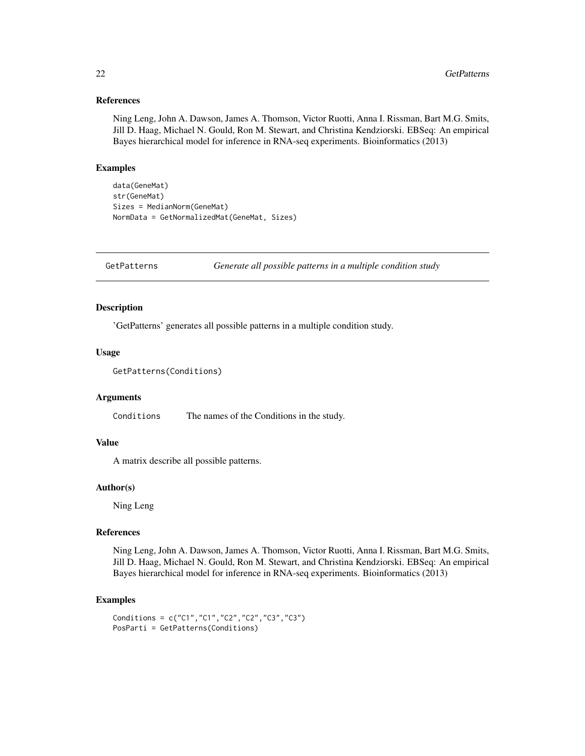#### References

Ning Leng, John A. Dawson, James A. Thomson, Victor Ruotti, Anna I. Rissman, Bart M.G. Smits, Jill D. Haag, Michael N. Gould, Ron M. Stewart, and Christina Kendziorski. EBSeq: An empirical Bayes hierarchical model for inference in RNA-seq experiments. Bioinformatics (2013)

### Examples

```
data(GeneMat)
str(GeneMat)
Sizes = MedianNorm(GeneMat)
NormData = GetNormalizedMat(GeneMat, Sizes)
```
GetPatterns *Generate all possible patterns in a multiple condition study*

### Description

'GetPatterns' generates all possible patterns in a multiple condition study.

#### Usage

```
GetPatterns(Conditions)
```
#### Arguments

Conditions The names of the Conditions in the study.

### Value

A matrix describe all possible patterns.

### Author(s)

Ning Leng

#### References

Ning Leng, John A. Dawson, James A. Thomson, Victor Ruotti, Anna I. Rissman, Bart M.G. Smits, Jill D. Haag, Michael N. Gould, Ron M. Stewart, and Christina Kendziorski. EBSeq: An empirical Bayes hierarchical model for inference in RNA-seq experiments. Bioinformatics (2013)

```
Conditions = c("C1","C1","C2","C2","C3","C3")
PosParti = GetPatterns(Conditions)
```
<span id="page-21-0"></span>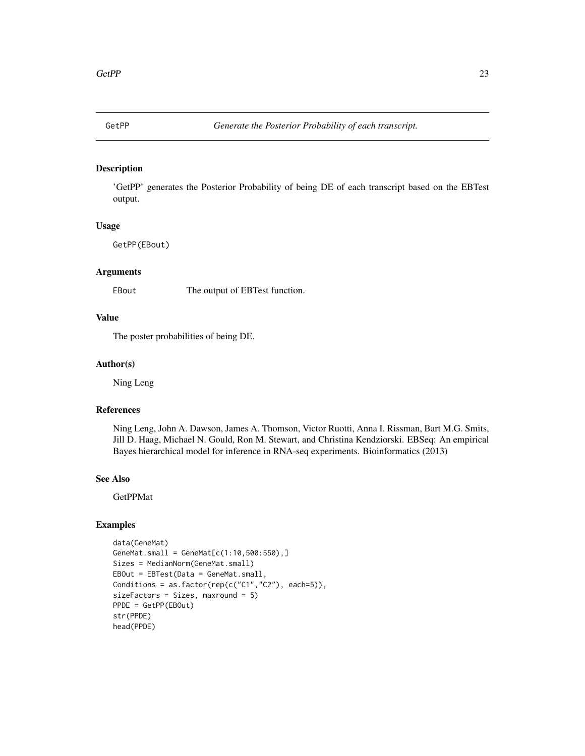<span id="page-22-0"></span>

'GetPP' generates the Posterior Probability of being DE of each transcript based on the EBTest output.

#### Usage

GetPP(EBout)

#### Arguments

EBout The output of EBTest function.

#### Value

The poster probabilities of being DE.

#### Author(s)

Ning Leng

### References

Ning Leng, John A. Dawson, James A. Thomson, Victor Ruotti, Anna I. Rissman, Bart M.G. Smits, Jill D. Haag, Michael N. Gould, Ron M. Stewart, and Christina Kendziorski. EBSeq: An empirical Bayes hierarchical model for inference in RNA-seq experiments. Bioinformatics (2013)

#### See Also

GetPPMat

```
data(GeneMat)
GeneMat.small = GeneMat[c(1:10,500:550),]Sizes = MedianNorm(GeneMat.small)
EBOut = EBTest(Data = GeneMat.small,
Conditions = as.factor(rep(c("C1","C2"), each=5)),
sizeFactors = Sizes, maxround = 5)
PPDE = GetPP(EBOut)
str(PPDE)
head(PPDE)
```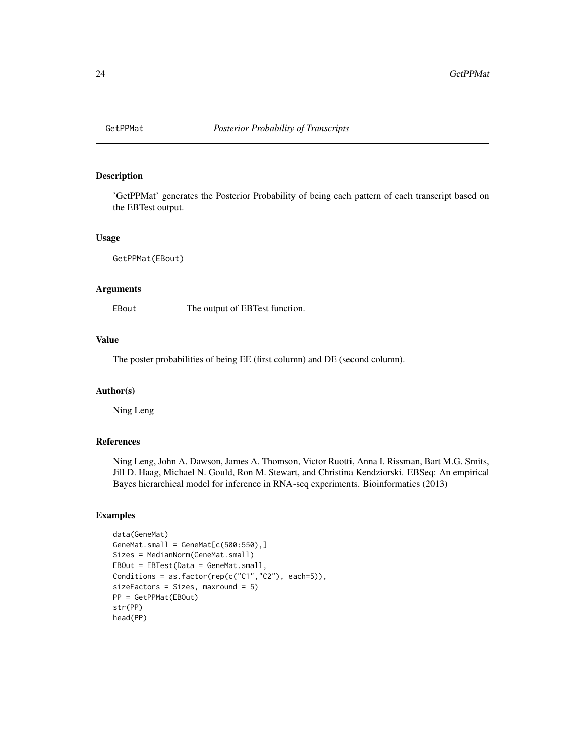<span id="page-23-0"></span>

'GetPPMat' generates the Posterior Probability of being each pattern of each transcript based on the EBTest output.

#### Usage

GetPPMat(EBout)

### Arguments

EBout The output of EBTest function.

#### Value

The poster probabilities of being EE (first column) and DE (second column).

#### Author(s)

Ning Leng

### References

Ning Leng, John A. Dawson, James A. Thomson, Victor Ruotti, Anna I. Rissman, Bart M.G. Smits, Jill D. Haag, Michael N. Gould, Ron M. Stewart, and Christina Kendziorski. EBSeq: An empirical Bayes hierarchical model for inference in RNA-seq experiments. Bioinformatics (2013)

```
data(GeneMat)
GeneMat.small = GeneMat[c(500:550),]Sizes = MedianNorm(GeneMat.small)
EBOut = EBTest(Data = GeneMat.small,
Conditions = as.factor(rep(c("C1","C2"), each=5)),
sizeFactors = Sizes, maxround = 5)
PP = GetPPMat(EBOut)
str(PP)
head(PP)
```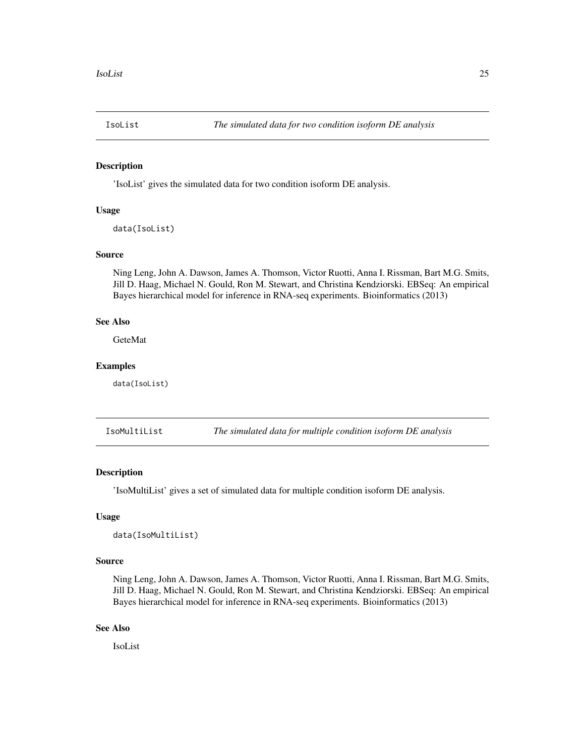<span id="page-24-0"></span>

'IsoList' gives the simulated data for two condition isoform DE analysis.

### Usage

```
data(IsoList)
```
#### Source

Ning Leng, John A. Dawson, James A. Thomson, Victor Ruotti, Anna I. Rissman, Bart M.G. Smits, Jill D. Haag, Michael N. Gould, Ron M. Stewart, and Christina Kendziorski. EBSeq: An empirical Bayes hierarchical model for inference in RNA-seq experiments. Bioinformatics (2013)

#### See Also

**GeteMat** 

#### Examples

data(IsoList)

IsoMultiList *The simulated data for multiple condition isoform DE analysis*

### Description

'IsoMultiList' gives a set of simulated data for multiple condition isoform DE analysis.

#### Usage

```
data(IsoMultiList)
```
#### Source

Ning Leng, John A. Dawson, James A. Thomson, Victor Ruotti, Anna I. Rissman, Bart M.G. Smits, Jill D. Haag, Michael N. Gould, Ron M. Stewart, and Christina Kendziorski. EBSeq: An empirical Bayes hierarchical model for inference in RNA-seq experiments. Bioinformatics (2013)

### See Also

IsoList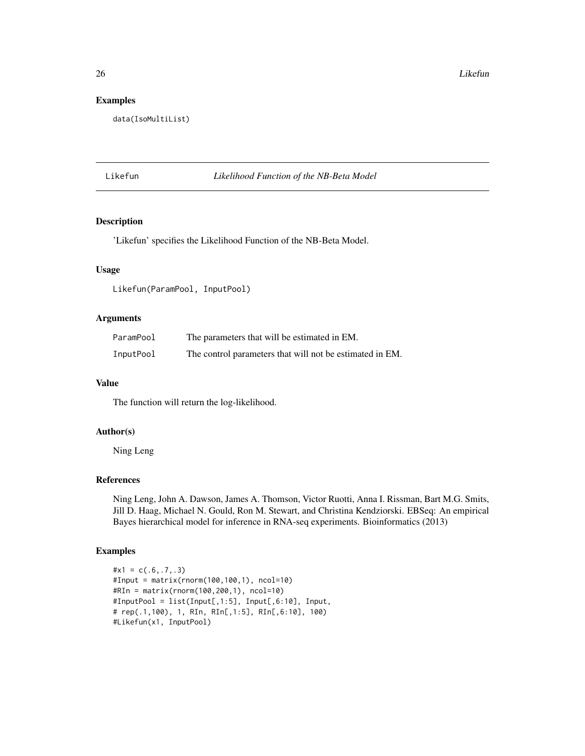### Examples

```
data(IsoMultiList)
```
#### Likefun *Likelihood Function of the NB-Beta Model*

### Description

'Likefun' specifies the Likelihood Function of the NB-Beta Model.

#### Usage

Likefun(ParamPool, InputPool)

#### Arguments

| ParamPool | The parameters that will be estimated in EM.             |
|-----------|----------------------------------------------------------|
| InputPool | The control parameters that will not be estimated in EM. |

### Value

The function will return the log-likelihood.

### Author(s)

Ning Leng

### References

Ning Leng, John A. Dawson, James A. Thomson, Victor Ruotti, Anna I. Rissman, Bart M.G. Smits, Jill D. Haag, Michael N. Gould, Ron M. Stewart, and Christina Kendziorski. EBSeq: An empirical Bayes hierarchical model for inference in RNA-seq experiments. Bioinformatics (2013)

```
\#x1 = c(.6,.7,.3)#Input = matrix(rnorm(100,100,1), ncol=10)
#RIn = matrix(rnorm(100,200,1), ncol=10)
#InputPool = list(Input[,1:5], Input[,6:10], Input,
# rep(.1,100), 1, RIn, RIn[,1:5], RIn[,6:10], 100)
#Likefun(x1, InputPool)
```
<span id="page-25-0"></span>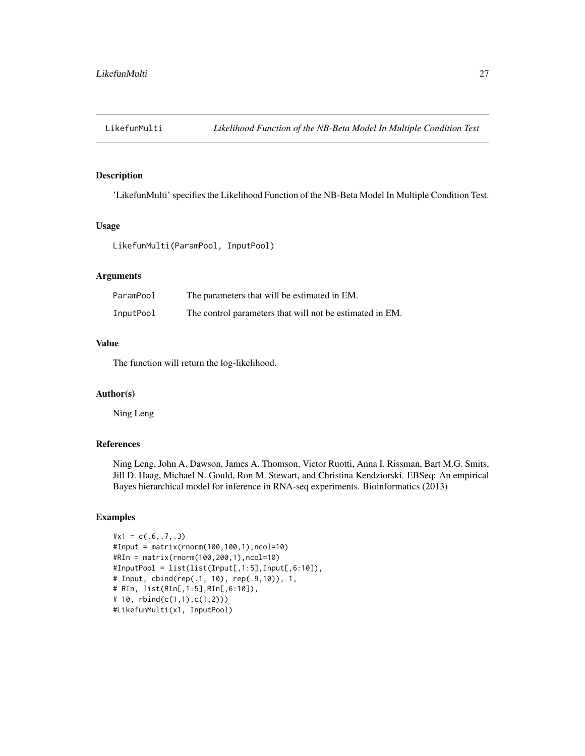<span id="page-26-0"></span>

'LikefunMulti' specifies the Likelihood Function of the NB-Beta Model In Multiple Condition Test.

#### Usage

```
LikefunMulti(ParamPool, InputPool)
```
### Arguments

| ParamPool | The parameters that will be estimated in EM.             |
|-----------|----------------------------------------------------------|
| InputPool | The control parameters that will not be estimated in EM. |

### Value

The function will return the log-likelihood.

### Author(s)

Ning Leng

### References

Ning Leng, John A. Dawson, James A. Thomson, Victor Ruotti, Anna I. Rissman, Bart M.G. Smits, Jill D. Haag, Michael N. Gould, Ron M. Stewart, and Christina Kendziorski. EBSeq: An empirical Bayes hierarchical model for inference in RNA-seq experiments. Bioinformatics (2013)

```
\#x1 = c(.6,.7,.3)#Input = matrix(rnorm(100,100,1),ncol=10)
#RIn = matrix(rnorm(100,200,1),ncol=10)
#InputPool = list(list(Input[,1:5],Input[,6:10]),
# Input, cbind(rep(.1, 10), rep(.9,10)), 1,
# RIn, list(RIn[,1:5],RIn[,6:10]),
# 10, rbind(c(1,1),c(1,2)))
#LikefunMulti(x1, InputPool)
```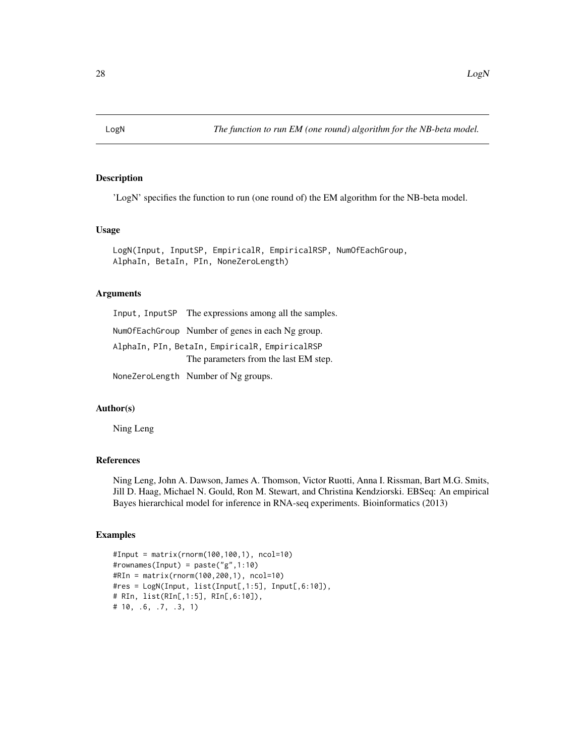<span id="page-27-0"></span>

'LogN' specifies the function to run (one round of) the EM algorithm for the NB-beta model.

#### Usage

LogN(Input, InputSP, EmpiricalR, EmpiricalRSP, NumOfEachGroup, AlphaIn, BetaIn, PIn, NoneZeroLength)

### Arguments

Input, InputSP The expressions among all the samples. NumOfEachGroup Number of genes in each Ng group. AlphaIn, PIn, BetaIn, EmpiricalR, EmpiricalRSP The parameters from the last EM step. NoneZeroLength Number of Ng groups.

### Author(s)

Ning Leng

#### References

Ning Leng, John A. Dawson, James A. Thomson, Victor Ruotti, Anna I. Rissman, Bart M.G. Smits, Jill D. Haag, Michael N. Gould, Ron M. Stewart, and Christina Kendziorski. EBSeq: An empirical Bayes hierarchical model for inference in RNA-seq experiments. Bioinformatics (2013)

```
#Input = matrix(rnorm(100,100,1), ncol=10)
#rownames(Input) = paste("g",1:10)
#RIn = matrix(rnorm(100,200,1), ncol=10)
#res = LogN(Input, list(Input[,1:5], Input[,6:10]),
# RIn, list(RIn[,1:5], RIn[,6:10]),
# 10, .6, .7, .3, 1)
```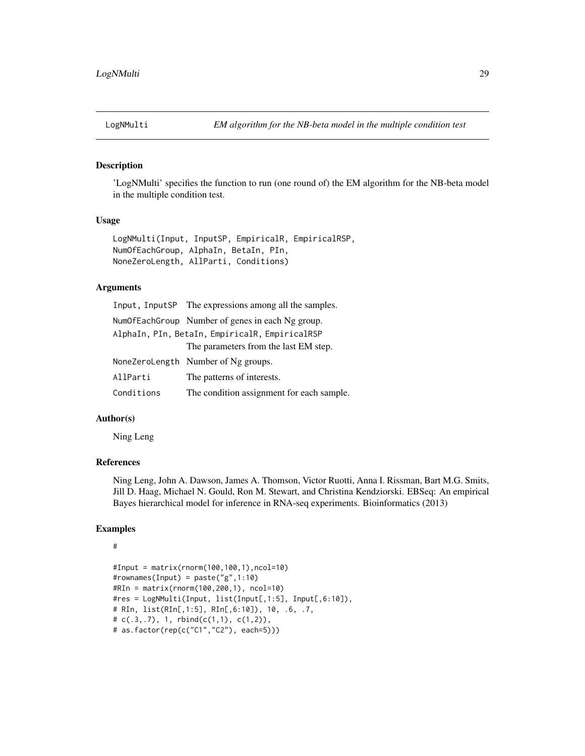<span id="page-28-0"></span>

'LogNMulti' specifies the function to run (one round of) the EM algorithm for the NB-beta model in the multiple condition test.

### Usage

LogNMulti(Input, InputSP, EmpiricalR, EmpiricalRSP, NumOfEachGroup, AlphaIn, BetaIn, PIn, NoneZeroLength, AllParti, Conditions)

#### Arguments

|                                                | Input, InputSP The expressions among all the samples. |  |
|------------------------------------------------|-------------------------------------------------------|--|
|                                                | NumOfEachGroup Number of genes in each Ng group.      |  |
| AlphaIn, PIn, BetaIn, EmpiricalR, EmpiricalRSP |                                                       |  |
|                                                | The parameters from the last EM step.                 |  |
|                                                | NoneZeroLength Number of Ng groups.                   |  |
| AllParti                                       | The patterns of interests.                            |  |
| Conditions                                     | The condition assignment for each sample.             |  |

### Author(s)

Ning Leng

### References

Ning Leng, John A. Dawson, James A. Thomson, Victor Ruotti, Anna I. Rissman, Bart M.G. Smits, Jill D. Haag, Michael N. Gould, Ron M. Stewart, and Christina Kendziorski. EBSeq: An empirical Bayes hierarchical model for inference in RNA-seq experiments. Bioinformatics (2013)

#### Examples

#### #

```
#Input = matrix(rnorm(100,100,1),ncol=10)
#rownames(Input) = paste("g",1:10)
#RIn = matrix(rnorm(100,200,1), ncol=10)
#res = LogNMulti(Input, list(Input[,1:5], Input[,6:10]),
# RIn, list(RIn[,1:5], RIn[,6:10]), 10, .6, .7,
# c(.3,.7), 1, rbind(c(1,1), c(1,2)),
# as.factor(rep(c("C1","C2"), each=5)))
```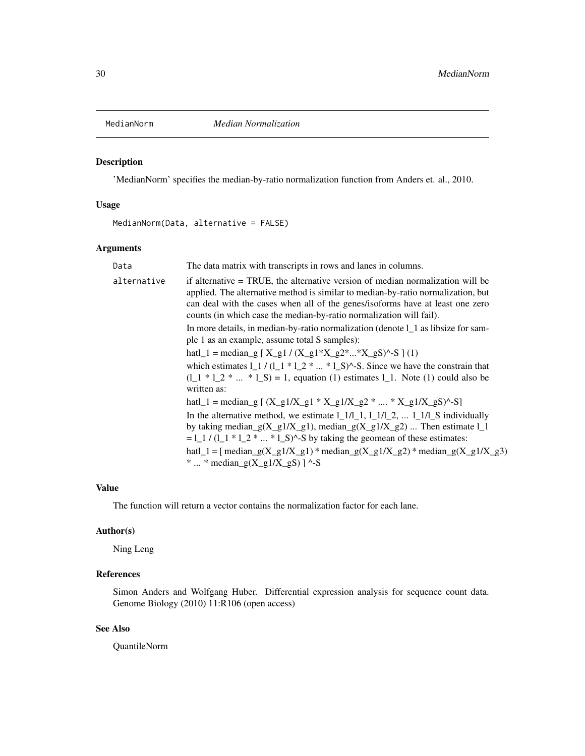<span id="page-29-0"></span>

'MedianNorm' specifies the median-by-ratio normalization function from Anders et. al., 2010.

### Usage

MedianNorm(Data, alternative = FALSE)

### Arguments

| Data        | The data matrix with transcripts in rows and lanes in columns.                                                                                                                                                                                                                                                                                                                        |
|-------------|---------------------------------------------------------------------------------------------------------------------------------------------------------------------------------------------------------------------------------------------------------------------------------------------------------------------------------------------------------------------------------------|
| alternative | if alternative = TRUE, the alternative version of median normalization will be<br>applied. The alternative method is similar to median-by-ratio normalization, but<br>can deal with the cases when all of the genes/isoforms have at least one zero<br>counts (in which case the median-by-ratio normalization will fail).                                                            |
|             | In more details, in median-by-ratio normalization (denote l_1 as libsize for sam-<br>ple 1 as an example, assume total S samples):                                                                                                                                                                                                                                                    |
|             | hatl_1 = median_g [X_g1 / (X_g1*X_g2**X_gS)^-S ] (1)                                                                                                                                                                                                                                                                                                                                  |
|             | which estimates $1 \cdot 1 / (1 \cdot 1 * 1 \cdot 2 *  * 1 \cdot S)^{\wedge}$ -S. Since we have the constrain that<br>$(1_1 * 1_2 *  * 1_S) = 1$ , equation (1) estimates 1 1. Note (1) could also be<br>written as:                                                                                                                                                                  |
|             | hatl_1 = median_g [ $(X_g1/X_g1 * X_g1/X_g2 *  * X_g1/X_gS)^{-S}$ ]                                                                                                                                                                                                                                                                                                                   |
|             | In the alternative method, we estimate $1_{1}/1_{1}$ , $1_{1}/1_{2}$ , $1_{1}/1_{2}$ individually<br>by taking median_g(X_g1/X_g1), median_g(X_g1/X_g2)  Then estimate $l_1$<br>$=$ 1 $\frac{1}{(1-1)^2}$ $\frac{1}{2^2}$ $\ldots$ $\frac{1}{2}$ S $\land$ -S by taking the geomean of these estimates:<br>hatl_1 = [ median_g(X_g1/X_g1) * median_g(X_g1/X_g2) * median_g(X_g1/X_g3) |
|             | *  * median_g(X_g1/X_gS) ] ^-S                                                                                                                                                                                                                                                                                                                                                        |

### Value

The function will return a vector contains the normalization factor for each lane.

### Author(s)

Ning Leng

### References

Simon Anders and Wolfgang Huber. Differential expression analysis for sequence count data. Genome Biology (2010) 11:R106 (open access)

### See Also

QuantileNorm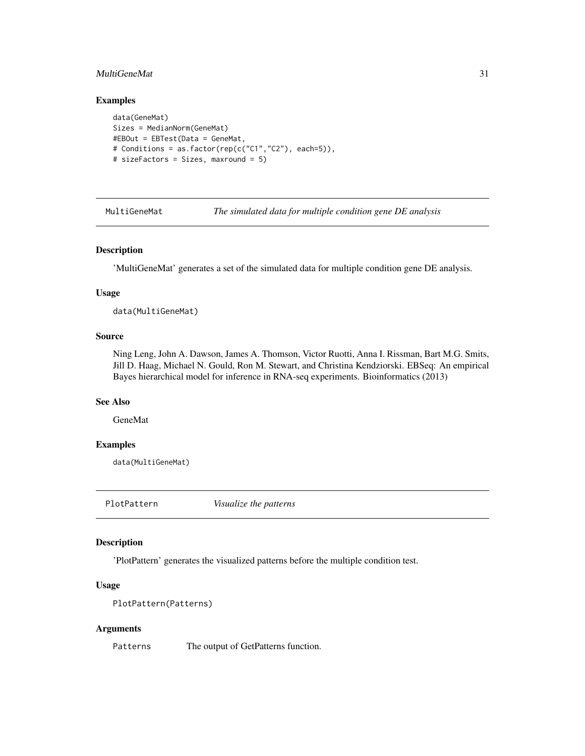### <span id="page-30-0"></span>MultiGeneMat 31

### Examples

```
data(GeneMat)
Sizes = MedianNorm(GeneMat)
#EBOut = EBTest(Data = GeneMat,
# Conditions = as.factor(rep(c("C1","C2"), each=5)),
# sizeFactors = Sizes, maxround = 5)
```
MultiGeneMat *The simulated data for multiple condition gene DE analysis*

### Description

'MultiGeneMat' generates a set of the simulated data for multiple condition gene DE analysis.

#### Usage

data(MultiGeneMat)

### Source

Ning Leng, John A. Dawson, James A. Thomson, Victor Ruotti, Anna I. Rissman, Bart M.G. Smits, Jill D. Haag, Michael N. Gould, Ron M. Stewart, and Christina Kendziorski. EBSeq: An empirical Bayes hierarchical model for inference in RNA-seq experiments. Bioinformatics (2013)

#### See Also

GeneMat

#### Examples

data(MultiGeneMat)

PlotPattern *Visualize the patterns*

#### Description

'PlotPattern' generates the visualized patterns before the multiple condition test.

#### Usage

```
PlotPattern(Patterns)
```
#### Arguments

Patterns The output of GetPatterns function.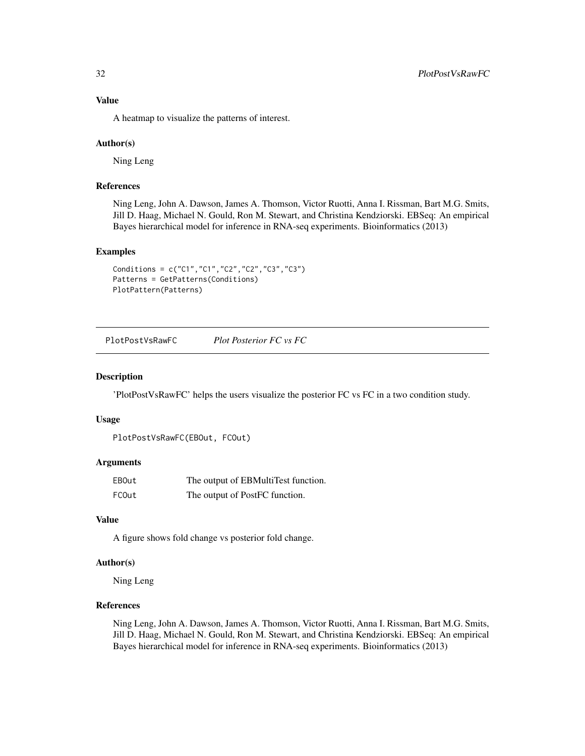<span id="page-31-0"></span>A heatmap to visualize the patterns of interest.

#### Author(s)

Ning Leng

### References

Ning Leng, John A. Dawson, James A. Thomson, Victor Ruotti, Anna I. Rissman, Bart M.G. Smits, Jill D. Haag, Michael N. Gould, Ron M. Stewart, and Christina Kendziorski. EBSeq: An empirical Bayes hierarchical model for inference in RNA-seq experiments. Bioinformatics (2013)

### Examples

```
Conditions = c("C1","C1","C2","C2","C3","C3")
Patterns = GetPatterns(Conditions)
PlotPattern(Patterns)
```
PlotPostVsRawFC *Plot Posterior FC vs FC*

#### Description

'PlotPostVsRawFC' helps the users visualize the posterior FC vs FC in a two condition study.

#### Usage

```
PlotPostVsRawFC(EBOut, FCOut)
```
### Arguments

| EBOut | The output of EBMultiTest function. |
|-------|-------------------------------------|
| FCOut | The output of PostFC function.      |

### Value

A figure shows fold change vs posterior fold change.

### Author(s)

Ning Leng

### References

Ning Leng, John A. Dawson, James A. Thomson, Victor Ruotti, Anna I. Rissman, Bart M.G. Smits, Jill D. Haag, Michael N. Gould, Ron M. Stewart, and Christina Kendziorski. EBSeq: An empirical Bayes hierarchical model for inference in RNA-seq experiments. Bioinformatics (2013)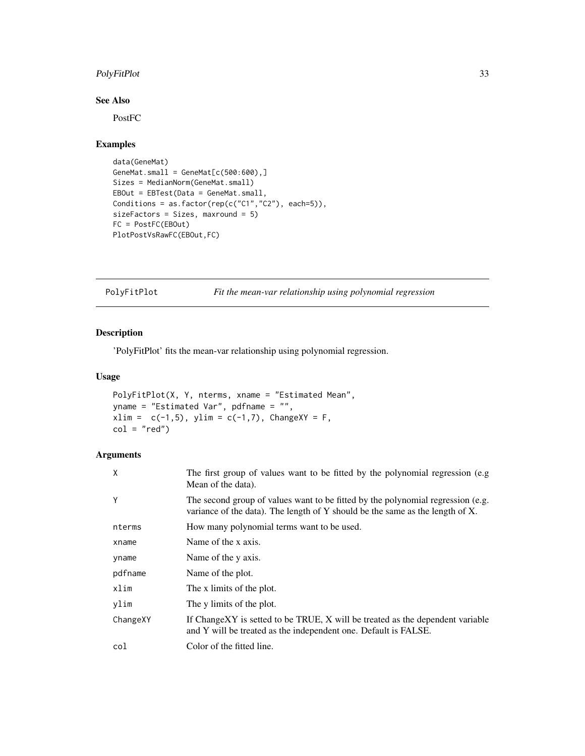### <span id="page-32-0"></span>PolyFitPlot 33

### See Also

PostFC

### Examples

```
data(GeneMat)
GeneMat.small = GeneMat[c(500:600),]Sizes = MedianNorm(GeneMat.small)
EBOut = EBTest(Data = GeneMat.small,
Conditions = as.factor(rep(c("C1","C2"), each=5)),
sizeFactors = Sizes, maxround = 5)
FC = PostFC(EBOut)
PlotPostVsRawFC(EBOut,FC)
```
PolyFitPlot *Fit the mean-var relationship using polynomial regression*

### Description

'PolyFitPlot' fits the mean-var relationship using polynomial regression.

#### Usage

```
PolyFitPlot(X, Y, nterms, xname = "Estimated Mean",
yname = "Estimated Var", pdfname = "",
xlim = c(-1,5), ylim = c(-1,7), ChangeXY = F,
col = "red")
```
### Arguments

| X        | The first group of values want to be fitted by the polynomial regression (e.g.<br>Mean of the data).                                                             |
|----------|------------------------------------------------------------------------------------------------------------------------------------------------------------------|
| Y        | The second group of values want to be fitted by the polynomial regression (e.g.<br>variance of the data). The length of Y should be the same as the length of X. |
| nterms   | How many polynomial terms want to be used.                                                                                                                       |
| xname    | Name of the x axis.                                                                                                                                              |
| yname    | Name of the y axis.                                                                                                                                              |
| pdfname  | Name of the plot.                                                                                                                                                |
| xlim     | The x limits of the plot.                                                                                                                                        |
| ylim     | The y limits of the plot.                                                                                                                                        |
| ChangeXY | If ChangeXY is setted to be TRUE, X will be treated as the dependent variable<br>and Y will be treated as the independent one. Default is FALSE.                 |
| col      | Color of the fitted line.                                                                                                                                        |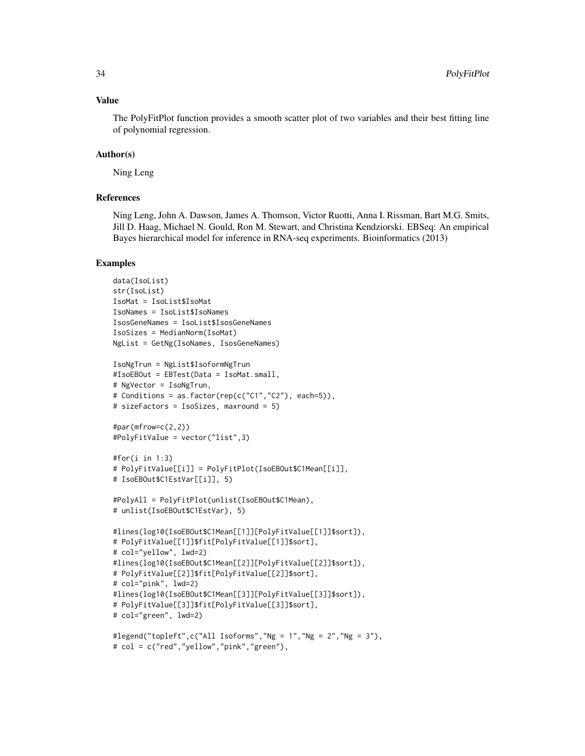#### Value

The PolyFitPlot function provides a smooth scatter plot of two variables and their best fitting line of polynomial regression.

#### Author(s)

Ning Leng

### References

Ning Leng, John A. Dawson, James A. Thomson, Victor Ruotti, Anna I. Rissman, Bart M.G. Smits, Jill D. Haag, Michael N. Gould, Ron M. Stewart, and Christina Kendziorski. EBSeq: An empirical Bayes hierarchical model for inference in RNA-seq experiments. Bioinformatics (2013)

```
data(IsoList)
str(IsoList)
IsoMat = IsoList$IsoMat
IsoNames = IsoList$IsoNames
IsosGeneNames = IsoList$IsosGeneNames
IsoSizes = MedianNorm(IsoMat)
NgList = GetNg(IsoNames, IsosGeneNames)
IsoNgTrun = NgList$IsoformNgTrun
#IsoEBOut = EBTest(Data = IsoMat.small,
# NgVector = IsoNgTrun,
# Conditions = as.factor(rep(c("C1","C2"), each=5)),
# sizeFactors = IsoSizes, maxround = 5)
#par(mfrow=c(2,2))
#PolyFitValue = vector("list",3)
#for(i in 1:3)
# PolyFitValue[[i]] = PolyFitPlot(IsoEBOut$C1Mean[[i]],
# IsoEBOut$C1EstVar[[i]], 5)
#PolyAll = PolyFitPlot(unlist(IsoEBOut$C1Mean),
# unlist(IsoEBOut$C1EstVar), 5)
#lines(log10(IsoEBOut$C1Mean[[1]][PolyFitValue[[1]]$sort]),
# PolyFitValue[[1]]$fit[PolyFitValue[[1]]$sort],
# col="yellow", lwd=2)
#lines(log10(IsoEBOut$C1Mean[[2]][PolyFitValue[[2]]$sort]),
# PolyFitValue[[2]]$fit[PolyFitValue[[2]]$sort],
# col="pink", lwd=2)
#lines(log10(IsoEBOut$C1Mean[[3]][PolyFitValue[[3]]$sort]),
# PolyFitValue[[3]]$fit[PolyFitValue[[3]]$sort],
# col="green", lwd=2)
#legend("topleft",c("All Isoforms","Ng = 1","Ng = 2","Ng = 3"),
```

```
# col = c("red","yellow","pink","green"),
```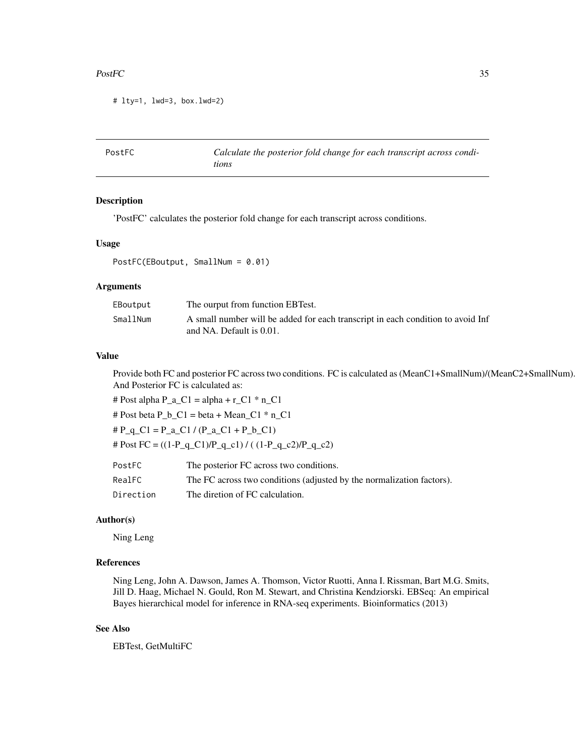#### <span id="page-34-0"></span> $PostFC$  35

```
# lty=1, lwd=3, box.lwd=2)
```

| PostFC | Calculate the posterior fold change for each transcript across condi- |
|--------|-----------------------------------------------------------------------|
|        | tions                                                                 |

#### Description

'PostFC' calculates the posterior fold change for each transcript across conditions.

#### Usage

PostFC(EBoutput, SmallNum = 0.01)

#### Arguments

| EBoutput | The ourput from function EBTest.                                                                            |
|----------|-------------------------------------------------------------------------------------------------------------|
| SmallNum | A small number will be added for each transcript in each condition to avoid Inf<br>and NA. Default is 0.01. |

#### Value

Provide both FC and posterior FC across two conditions. FC is calculated as (MeanC1+SmallNum)/(MeanC2+SmallNum). And Posterior FC is calculated as:

# Post alpha  $P_a_C1 = alpha + r_C1 * n_C1$ 

# Post beta  $P_b_C1 = \beta_0 + \gamma_0$  =  $C1 * n_C1$ 

 $\# P_q$  C1 = P\_a\_C1 / (P\_a\_C1 + P\_b\_C1)

# Post FC =  $((1-P_q_C1)/P_q_c1) / ((1-P_q_c2)/P_q_c2)$ 

| PostFC    | The posterior FC across two conditions.                               |
|-----------|-----------------------------------------------------------------------|
| RealFC    | The FC across two conditions (adjusted by the normalization factors). |
| Direction | The diretion of FC calculation.                                       |

#### Author(s)

Ning Leng

### References

Ning Leng, John A. Dawson, James A. Thomson, Victor Ruotti, Anna I. Rissman, Bart M.G. Smits, Jill D. Haag, Michael N. Gould, Ron M. Stewart, and Christina Kendziorski. EBSeq: An empirical Bayes hierarchical model for inference in RNA-seq experiments. Bioinformatics (2013)

### See Also

EBTest, GetMultiFC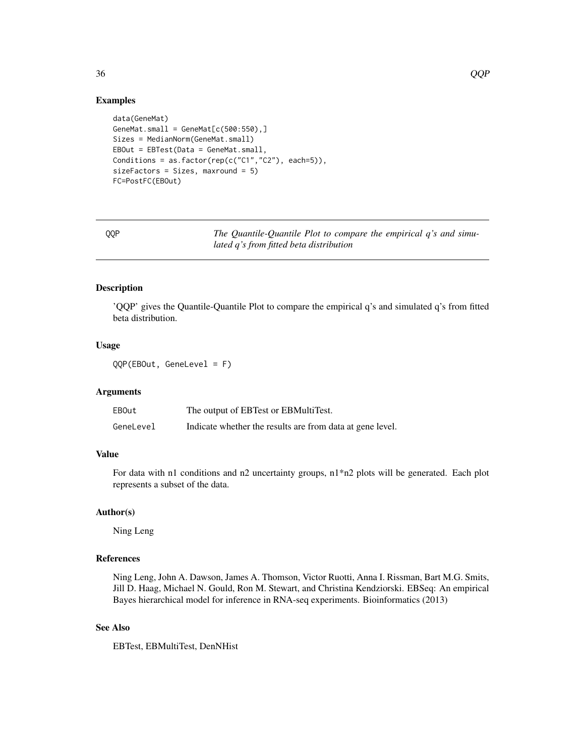#### Examples

```
data(GeneMat)
GeneMat.small = GeneMat[c(500:550),]Sizes = MedianNorm(GeneMat.small)
EBOut = EBTest(Data = GeneMat.small,
Conditions = as.factor(rep(c("C1","C2"), each=5)),
sizeFactors = Sizes, maxround = 5)
FC=PostFC(EBOut)
```
QQP *The Quantile-Quantile Plot to compare the empirical q's and simulated q's from fitted beta distribution*

### Description

'QQP' gives the Quantile-Quantile Plot to compare the empirical q's and simulated q's from fitted beta distribution.

### Usage

QQP(EBOut, GeneLevel = F)

#### Arguments

| EBOut     | The output of EBTest or EBMultiTest.                      |
|-----------|-----------------------------------------------------------|
| GeneLevel | Indicate whether the results are from data at gene level. |

### Value

For data with n1 conditions and n2 uncertainty groups,  $n1*n2$  plots will be generated. Each plot represents a subset of the data.

#### Author(s)

Ning Leng

### References

Ning Leng, John A. Dawson, James A. Thomson, Victor Ruotti, Anna I. Rissman, Bart M.G. Smits, Jill D. Haag, Michael N. Gould, Ron M. Stewart, and Christina Kendziorski. EBSeq: An empirical Bayes hierarchical model for inference in RNA-seq experiments. Bioinformatics (2013)

### See Also

EBTest, EBMultiTest, DenNHist

<span id="page-35-0"></span>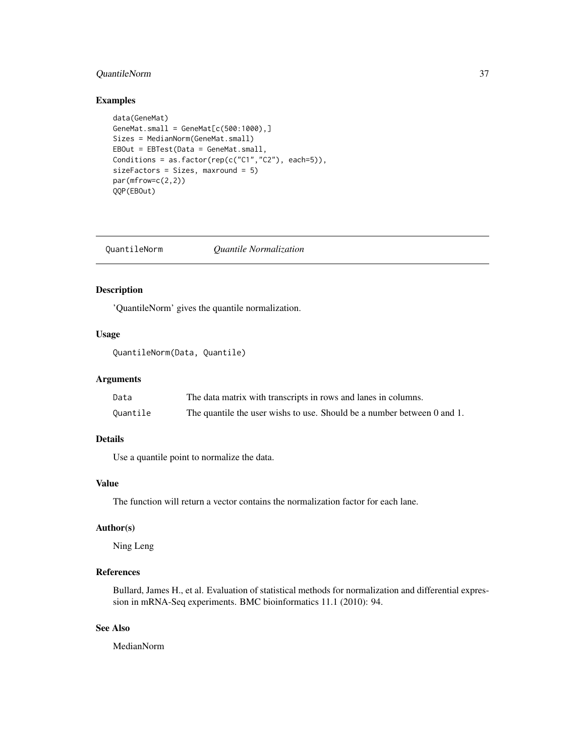### <span id="page-36-0"></span>QuantileNorm 37

#### Examples

```
data(GeneMat)
GeneMat.small = GeneMat[c(500:1000),]Sizes = MedianNorm(GeneMat.small)
EBOut = EBTest(Data = GeneMat.small,
Conditions = as.factor(rep(c("C1","C2"), each=5)),
sizeFactors = Sizes, maxround = 5)
par(mfrow=c(2,2))
QQP(EBOut)
```
QuantileNorm *Quantile Normalization*

### Description

'QuantileNorm' gives the quantile normalization.

### Usage

```
QuantileNorm(Data, Quantile)
```
### Arguments

| Data     | The data matrix with transcripts in rows and lanes in columns.          |
|----------|-------------------------------------------------------------------------|
| Quantile | The quantile the user wishs to use. Should be a number between 0 and 1. |

### Details

Use a quantile point to normalize the data.

### Value

The function will return a vector contains the normalization factor for each lane.

### Author(s)

Ning Leng

### References

Bullard, James H., et al. Evaluation of statistical methods for normalization and differential expression in mRNA-Seq experiments. BMC bioinformatics 11.1 (2010): 94.

### See Also

MedianNorm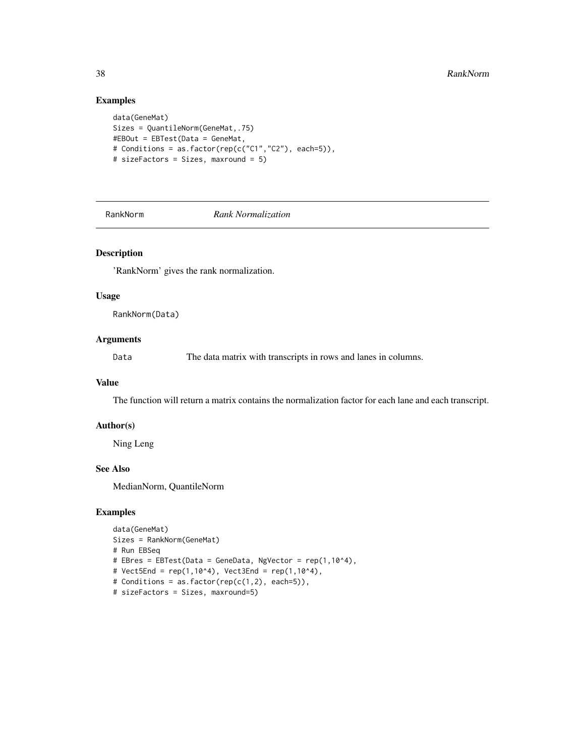### Examples

```
data(GeneMat)
Sizes = QuantileNorm(GeneMat,.75)
#EBOut = EBTest(Data = GeneMat,
# Conditions = as.factor(rep(c("C1","C2"), each=5)),
# sizeFactors = Sizes, maxround = 5)
```
RankNorm *Rank Normalization*

### Description

'RankNorm' gives the rank normalization.

#### Usage

RankNorm(Data)

#### Arguments

Data The data matrix with transcripts in rows and lanes in columns.

#### Value

The function will return a matrix contains the normalization factor for each lane and each transcript.

#### Author(s)

Ning Leng

### See Also

MedianNorm, QuantileNorm

```
data(GeneMat)
Sizes = RankNorm(GeneMat)
# Run EBSeq
# EBres = EBTest(Data = GeneData, NgVector = rep(1,10^4),
# Vect5End = rep(1,10^4), Vect3End = rep(1,10^4),
# Conditions = as.factor(rep(c(1,2), each=5)),
# sizeFactors = Sizes, maxround=5)
```
<span id="page-37-0"></span>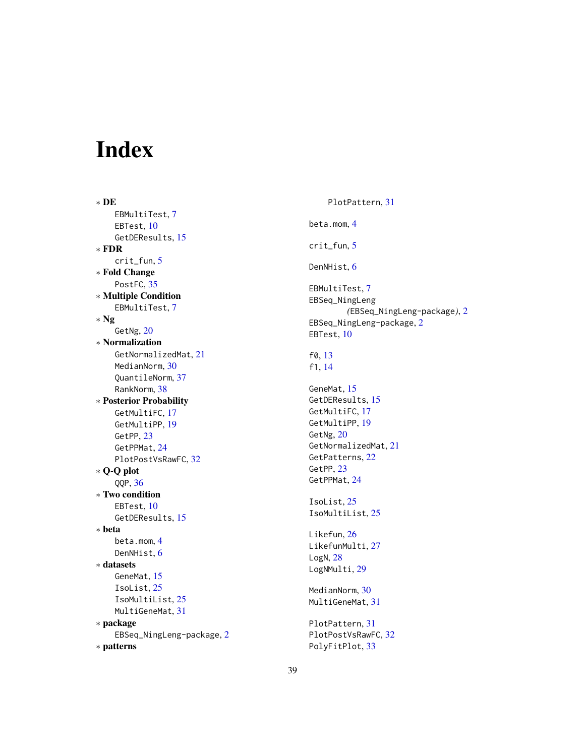# <span id="page-38-0"></span>Index

∗ DE EBMultiTest, [7](#page-6-0) EBTest, [10](#page-9-0) GetDEResults, [15](#page-14-0) ∗ FDR crit\_fun, [5](#page-4-0) ∗ Fold Change PostFC, [35](#page-34-0) ∗ Multiple Condition EBMultiTest, [7](#page-6-0) ∗ Ng GetNg, [20](#page-19-0) ∗ Normalization GetNormalizedMat, [21](#page-20-0) MedianNorm, [30](#page-29-0) QuantileNorm, [37](#page-36-0) RankNorm, [38](#page-37-0) ∗ Posterior Probability GetMultiFC, [17](#page-16-0) GetMultiPP, [19](#page-18-0) GetPP, [23](#page-22-0) GetPPMat, [24](#page-23-0) PlotPostVsRawFC, [32](#page-31-0) ∗ Q-Q plot QQP, [36](#page-35-0) ∗ Two condition EBTest, [10](#page-9-0) GetDEResults, [15](#page-14-0) ∗ beta beta.mom, [4](#page-3-0) DenNHist, [6](#page-5-0) ∗ datasets GeneMat, [15](#page-14-0) IsoList, [25](#page-24-0) IsoMultiList, [25](#page-24-0) MultiGeneMat, [31](#page-30-0) ∗ package EBSeq\_NingLeng-package, [2](#page-1-0) ∗ patterns

PlotPattern, [31](#page-30-0) beta.mom, [4](#page-3-0) crit\_fun, [5](#page-4-0) DenNHist, [6](#page-5-0) EBMultiTest, [7](#page-6-0) EBSeq\_NingLeng *(*EBSeq\_NingLeng-package*)*, [2](#page-1-0) EBSeq\_NingLeng-package, [2](#page-1-0) EBTest, [10](#page-9-0) f0, [13](#page-12-0) f1, [14](#page-13-0) GeneMat, [15](#page-14-0) GetDEResults, [15](#page-14-0) GetMultiFC, [17](#page-16-0) GetMultiPP, [19](#page-18-0) GetNg, [20](#page-19-0) GetNormalizedMat, [21](#page-20-0) GetPatterns, [22](#page-21-0) GetPP, [23](#page-22-0) GetPPMat, [24](#page-23-0) IsoList, [25](#page-24-0) IsoMultiList, [25](#page-24-0) Likefun, [26](#page-25-0) LikefunMulti, [27](#page-26-0) LogN, [28](#page-27-0) LogNMulti, [29](#page-28-0) MedianNorm, [30](#page-29-0) MultiGeneMat, [31](#page-30-0) PlotPattern, [31](#page-30-0) PlotPostVsRawFC, [32](#page-31-0) PolyFitPlot, [33](#page-32-0)